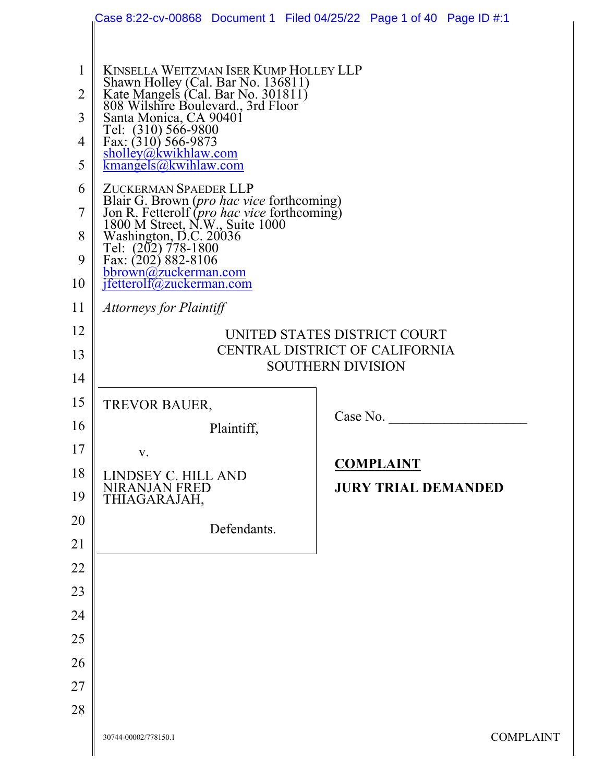|              | Case 8:22-cv-00868 Document 1 Filed 04/25/22 Page 1 of 40 Page ID #:1                                                       |             |                          |                            |                  |  |  |
|--------------|-----------------------------------------------------------------------------------------------------------------------------|-------------|--------------------------|----------------------------|------------------|--|--|
|              |                                                                                                                             |             |                          |                            |                  |  |  |
| $\mathbf{1}$ | KINSELLA WEITZMAN ISER KUMP HOLLEY LLP                                                                                      |             |                          |                            |                  |  |  |
| 2            | Shawn Holley (Cal. Bar No. 136811)<br>Kate Mangels (Cal. Bar No. 301811)<br>808 Wilshire Boulevard., 3rd Floor              |             |                          |                            |                  |  |  |
| 3            | Santa Monica, CA 90401<br>Tel: (310) 566-9800                                                                               |             |                          |                            |                  |  |  |
| 4            | Fax: $(310)$ 566-9873<br>sholley@kwikhlaw.com                                                                               |             |                          |                            |                  |  |  |
| 5            | kmangels@kwhlaw.com                                                                                                         |             |                          |                            |                  |  |  |
| 6            | ZUCKERMAN SPAEDER LLP                                                                                                       |             |                          |                            |                  |  |  |
| 7            | Blair G. Brown (pro hac vice forthcoming)<br>Jon R. Fetterolf (pro hac vice forthcoming)<br>1800 M Street, N.W., Suite 1000 |             |                          |                            |                  |  |  |
| 8<br>9       | Washington, D.C. 20036<br>Tel: (202) 778-1800<br>Fax: (202) 882-8106                                                        |             |                          |                            |                  |  |  |
| 10           | bbrown@zuckerman.com<br>jfetterolf@zuckerman.com                                                                            |             |                          |                            |                  |  |  |
| 11           | Attorneys for Plaintiff                                                                                                     |             |                          |                            |                  |  |  |
| 12           |                                                                                                                             |             |                          |                            |                  |  |  |
| 13           | UNITED STATES DISTRICT COURT<br>CENTRAL DISTRICT OF CALIFORNIA                                                              |             |                          |                            |                  |  |  |
| 14           |                                                                                                                             |             | <b>SOUTHERN DIVISION</b> |                            |                  |  |  |
| 15           | TREVOR BAUER,                                                                                                               |             |                          |                            |                  |  |  |
| 16           |                                                                                                                             | Plaintiff,  |                          | Case No.                   |                  |  |  |
| 17           |                                                                                                                             |             |                          |                            |                  |  |  |
| 18           | V.<br>LINDSEY C. HILL AND                                                                                                   |             |                          | <b>COMPLAINT</b>           |                  |  |  |
| 19           | <b>NIRANJAN FRED</b><br>THIAGARAJAH,                                                                                        |             |                          | <b>JURY TRIAL DEMANDED</b> |                  |  |  |
| 20           |                                                                                                                             | Defendants. |                          |                            |                  |  |  |
| 21           |                                                                                                                             |             |                          |                            |                  |  |  |
| 22           |                                                                                                                             |             |                          |                            |                  |  |  |
| 23           |                                                                                                                             |             |                          |                            |                  |  |  |
| 24           |                                                                                                                             |             |                          |                            |                  |  |  |
| 25           |                                                                                                                             |             |                          |                            |                  |  |  |
| 26           |                                                                                                                             |             |                          |                            |                  |  |  |
| 27           |                                                                                                                             |             |                          |                            |                  |  |  |
| 28           |                                                                                                                             |             |                          |                            |                  |  |  |
|              | 30744-00002/778150.1                                                                                                        |             |                          |                            | <b>COMPLAINT</b> |  |  |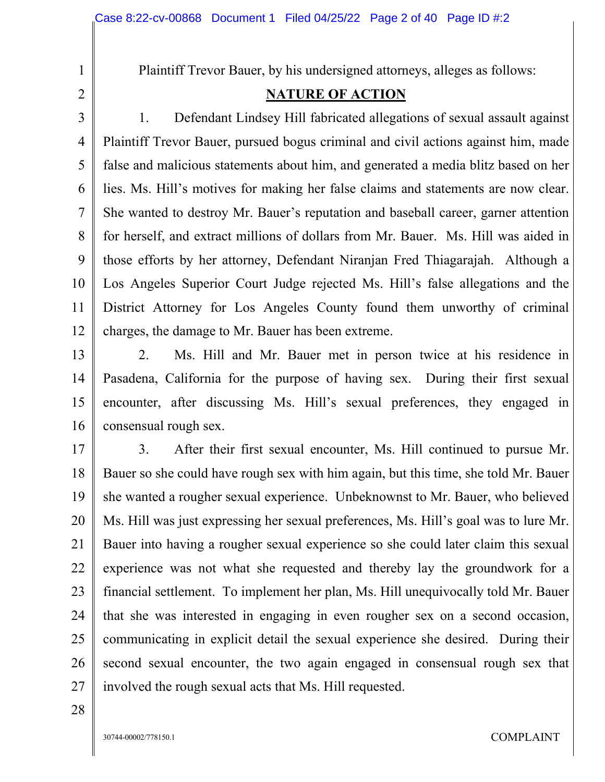Plaintiff Trevor Bauer, by his undersigned attorneys, alleges as follows:

## **NATURE OF ACTION**

3 4 5 6 7 8 9 10 11 12 1. Defendant Lindsey Hill fabricated allegations of sexual assault against Plaintiff Trevor Bauer, pursued bogus criminal and civil actions against him, made false and malicious statements about him, and generated a media blitz based on her lies. Ms. Hill's motives for making her false claims and statements are now clear. She wanted to destroy Mr. Bauer's reputation and baseball career, garner attention for herself, and extract millions of dollars from Mr. Bauer. Ms. Hill was aided in those efforts by her attorney, Defendant Niranjan Fred Thiagarajah. Although a Los Angeles Superior Court Judge rejected Ms. Hill's false allegations and the District Attorney for Los Angeles County found them unworthy of criminal charges, the damage to Mr. Bauer has been extreme.

13 14 15 16 2. Ms. Hill and Mr. Bauer met in person twice at his residence in Pasadena, California for the purpose of having sex. During their first sexual encounter, after discussing Ms. Hill's sexual preferences, they engaged in consensual rough sex.

17 18 19 20 21 22 23 24 25 26 27 3. After their first sexual encounter, Ms. Hill continued to pursue Mr. Bauer so she could have rough sex with him again, but this time, she told Mr. Bauer she wanted a rougher sexual experience. Unbeknownst to Mr. Bauer, who believed Ms. Hill was just expressing her sexual preferences, Ms. Hill's goal was to lure Mr. Bauer into having a rougher sexual experience so she could later claim this sexual experience was not what she requested and thereby lay the groundwork for a financial settlement. To implement her plan, Ms. Hill unequivocally told Mr. Bauer that she was interested in engaging in even rougher sex on a second occasion, communicating in explicit detail the sexual experience she desired. During their second sexual encounter, the two again engaged in consensual rough sex that involved the rough sexual acts that Ms. Hill requested.

28

1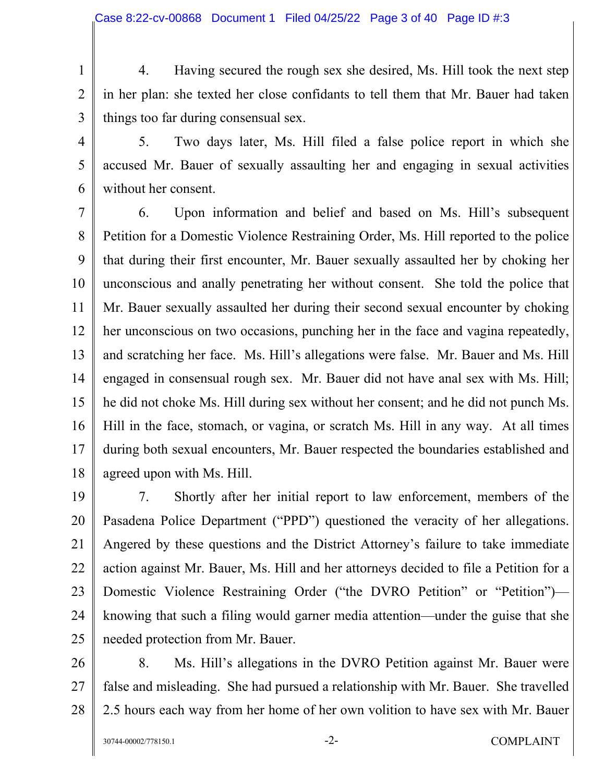1 2 3 4. Having secured the rough sex she desired, Ms. Hill took the next step in her plan: she texted her close confidants to tell them that Mr. Bauer had taken things too far during consensual sex.

4

5

6

5. Two days later, Ms. Hill filed a false police report in which she accused Mr. Bauer of sexually assaulting her and engaging in sexual activities without her consent.

7 8 9 10 11 12 13 14 15 16 17 18 6. Upon information and belief and based on Ms. Hill's subsequent Petition for a Domestic Violence Restraining Order, Ms. Hill reported to the police that during their first encounter, Mr. Bauer sexually assaulted her by choking her unconscious and anally penetrating her without consent. She told the police that Mr. Bauer sexually assaulted her during their second sexual encounter by choking her unconscious on two occasions, punching her in the face and vagina repeatedly, and scratching her face. Ms. Hill's allegations were false. Mr. Bauer and Ms. Hill engaged in consensual rough sex. Mr. Bauer did not have anal sex with Ms. Hill; he did not choke Ms. Hill during sex without her consent; and he did not punch Ms. Hill in the face, stomach, or vagina, or scratch Ms. Hill in any way. At all times during both sexual encounters, Mr. Bauer respected the boundaries established and agreed upon with Ms. Hill.

19 20 21 22 23 24 25 7. Shortly after her initial report to law enforcement, members of the Pasadena Police Department ("PPD") questioned the veracity of her allegations. Angered by these questions and the District Attorney's failure to take immediate action against Mr. Bauer, Ms. Hill and her attorneys decided to file a Petition for a Domestic Violence Restraining Order ("the DVRO Petition" or "Petition") knowing that such a filing would garner media attention—under the guise that she needed protection from Mr. Bauer.

26 27 28 8. Ms. Hill's allegations in the DVRO Petition against Mr. Bauer were false and misleading. She had pursued a relationship with Mr. Bauer. She travelled 2.5 hours each way from her home of her own volition to have sex with Mr. Bauer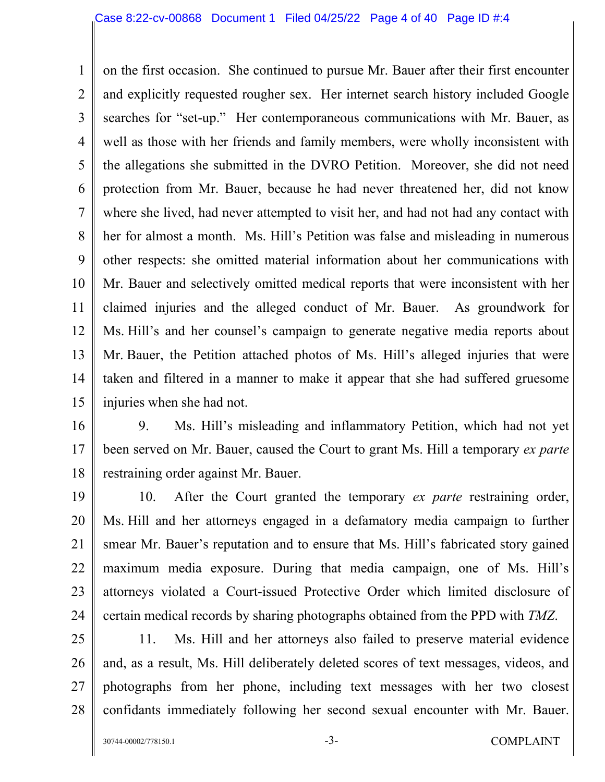1 2 3 4 5 6 7 8 9 10 11 12 13 14 15 on the first occasion. She continued to pursue Mr. Bauer after their first encounter and explicitly requested rougher sex. Her internet search history included Google searches for "set-up." Her contemporaneous communications with Mr. Bauer, as well as those with her friends and family members, were wholly inconsistent with the allegations she submitted in the DVRO Petition. Moreover, she did not need protection from Mr. Bauer, because he had never threatened her, did not know where she lived, had never attempted to visit her, and had not had any contact with her for almost a month. Ms. Hill's Petition was false and misleading in numerous other respects: she omitted material information about her communications with Mr. Bauer and selectively omitted medical reports that were inconsistent with her claimed injuries and the alleged conduct of Mr. Bauer. As groundwork for Ms. Hill's and her counsel's campaign to generate negative media reports about Mr. Bauer, the Petition attached photos of Ms. Hill's alleged injuries that were taken and filtered in a manner to make it appear that she had suffered gruesome injuries when she had not.

16

17 18 9. Ms. Hill's misleading and inflammatory Petition, which had not yet been served on Mr. Bauer, caused the Court to grant Ms. Hill a temporary *ex parte* restraining order against Mr. Bauer.

19 20 21 22 23 24 10. After the Court granted the temporary *ex parte* restraining order, Ms. Hill and her attorneys engaged in a defamatory media campaign to further smear Mr. Bauer's reputation and to ensure that Ms. Hill's fabricated story gained maximum media exposure. During that media campaign, one of Ms. Hill's attorneys violated a Court-issued Protective Order which limited disclosure of certain medical records by sharing photographs obtained from the PPD with *TMZ*.

25 26 27 28 11. Ms. Hill and her attorneys also failed to preserve material evidence and, as a result, Ms. Hill deliberately deleted scores of text messages, videos, and photographs from her phone, including text messages with her two closest confidants immediately following her second sexual encounter with Mr. Bauer.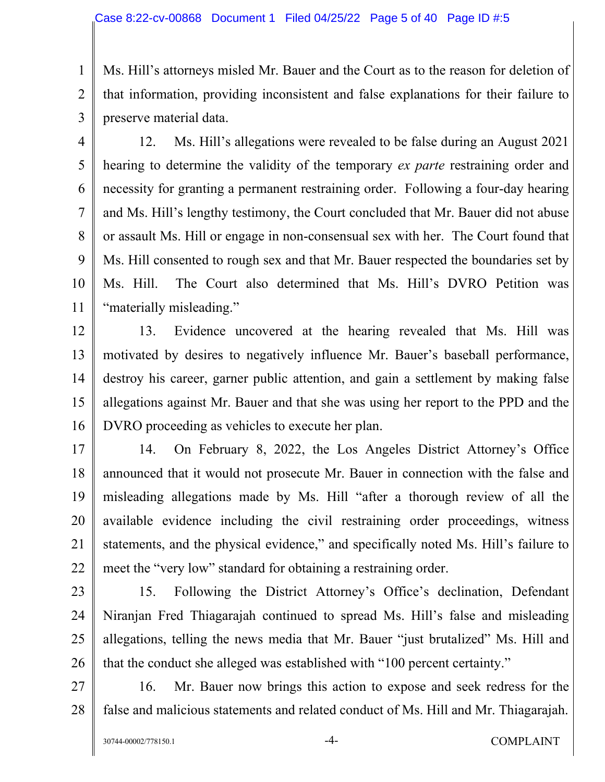1 2 3 Ms. Hill's attorneys misled Mr. Bauer and the Court as to the reason for deletion of that information, providing inconsistent and false explanations for their failure to preserve material data.

4

5

6

7

8

9

11

10 12. Ms. Hill's allegations were revealed to be false during an August 2021 hearing to determine the validity of the temporary *ex parte* restraining order and necessity for granting a permanent restraining order. Following a four-day hearing and Ms. Hill's lengthy testimony, the Court concluded that Mr. Bauer did not abuse or assault Ms. Hill or engage in non-consensual sex with her. The Court found that Ms. Hill consented to rough sex and that Mr. Bauer respected the boundaries set by Ms. Hill. The Court also determined that Ms. Hill's DVRO Petition was "materially misleading."

12 13 14 15 16 13. Evidence uncovered at the hearing revealed that Ms. Hill was motivated by desires to negatively influence Mr. Bauer's baseball performance, destroy his career, garner public attention, and gain a settlement by making false allegations against Mr. Bauer and that she was using her report to the PPD and the DVRO proceeding as vehicles to execute her plan.

17 18 19 20 21 22 14. On February 8, 2022, the Los Angeles District Attorney's Office announced that it would not prosecute Mr. Bauer in connection with the false and misleading allegations made by Ms. Hill "after a thorough review of all the available evidence including the civil restraining order proceedings, witness statements, and the physical evidence," and specifically noted Ms. Hill's failure to meet the "very low" standard for obtaining a restraining order.

23

24 25 26 15. Following the District Attorney's Office's declination, Defendant Niranjan Fred Thiagarajah continued to spread Ms. Hill's false and misleading allegations, telling the news media that Mr. Bauer "just brutalized" Ms. Hill and that the conduct she alleged was established with "100 percent certainty."

27 28 16. Mr. Bauer now brings this action to expose and seek redress for the false and malicious statements and related conduct of Ms. Hill and Mr. Thiagarajah.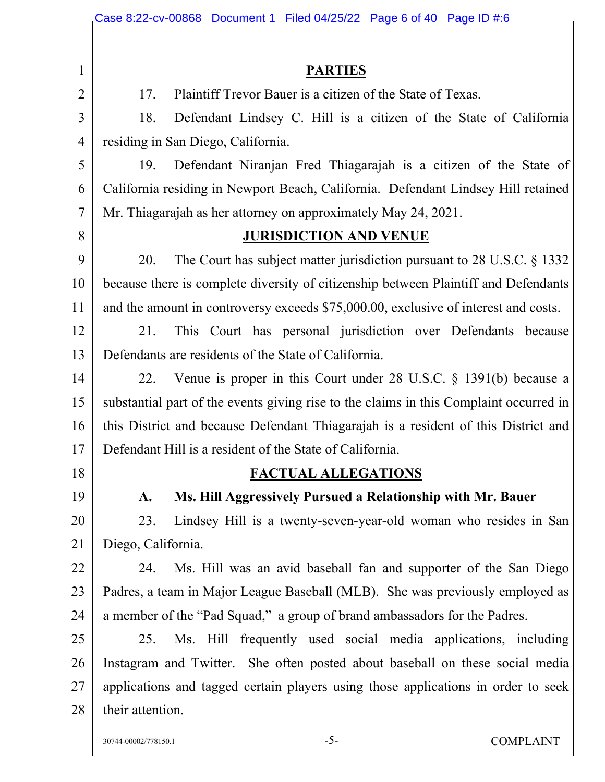|                | Case 8:22-cv-00868 Document 1 Filed 04/25/22 Page 6 of 40 Page ID #:6                  |  |  |  |
|----------------|----------------------------------------------------------------------------------------|--|--|--|
|                |                                                                                        |  |  |  |
| $\mathbf{1}$   | <b>PARTIES</b>                                                                         |  |  |  |
| $\overline{2}$ | Plaintiff Trevor Bauer is a citizen of the State of Texas.<br>17.                      |  |  |  |
| 3              | Defendant Lindsey C. Hill is a citizen of the State of California<br>18.               |  |  |  |
| $\overline{4}$ | residing in San Diego, California.                                                     |  |  |  |
| 5              | Defendant Niranjan Fred Thiagarajah is a citizen of the State of<br>19.                |  |  |  |
| 6              | California residing in Newport Beach, California. Defendant Lindsey Hill retained      |  |  |  |
| $\tau$         | Mr. Thiagarajah as her attorney on approximately May 24, 2021.                         |  |  |  |
| 8              | <b>JURISDICTION AND VENUE</b>                                                          |  |  |  |
| 9              | The Court has subject matter jurisdiction pursuant to $28$ U.S.C. $\S$ 1332<br>20.     |  |  |  |
| 10             | because there is complete diversity of citizenship between Plaintiff and Defendants    |  |  |  |
| 11             | and the amount in controversy exceeds \$75,000.00, exclusive of interest and costs.    |  |  |  |
| 12             | This Court has personal jurisdiction over Defendants because<br>21.                    |  |  |  |
| 13             | Defendants are residents of the State of California.                                   |  |  |  |
| 14             | Venue is proper in this Court under $28$ U.S.C. $\S$ 1391(b) because a<br>22.          |  |  |  |
| 15             | substantial part of the events giving rise to the claims in this Complaint occurred in |  |  |  |
| 16             | this District and because Defendant Thiagarajah is a resident of this District and     |  |  |  |
| 17             | Defendant Hill is a resident of the State of California.                               |  |  |  |
| 18             | <b>FACTUAL ALLEGATIONS</b>                                                             |  |  |  |
| 19             | Ms. Hill Aggressively Pursued a Relationship with Mr. Bauer<br>$\mathbf{A}$ .          |  |  |  |
| 20             | 23.<br>Lindsey Hill is a twenty-seven-year-old woman who resides in San                |  |  |  |
| 21             | Diego, California.                                                                     |  |  |  |
| 22             | Ms. Hill was an avid baseball fan and supporter of the San Diego<br>24.                |  |  |  |
| 23             | Padres, a team in Major League Baseball (MLB). She was previously employed as          |  |  |  |
| 24             | a member of the "Pad Squad," a group of brand ambassadors for the Padres.              |  |  |  |
| 25             | Ms. Hill frequently used social media applications, including<br>25.                   |  |  |  |
| 26             | Instagram and Twitter. She often posted about baseball on these social media           |  |  |  |
| 27             | applications and tagged certain players using those applications in order to seek      |  |  |  |
| 28             | their attention.                                                                       |  |  |  |
|                |                                                                                        |  |  |  |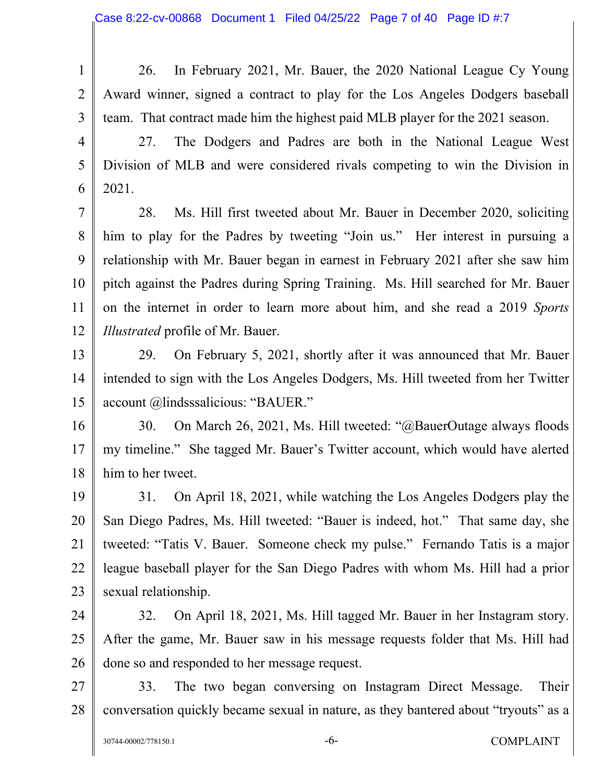26. In February 2021, Mr. Bauer, the 2020 National League Cy Young Award winner, signed a contract to play for the Los Angeles Dodgers baseball team. That contract made him the highest paid MLB player for the 2021 season.

27. The Dodgers and Padres are both in the National League West Division of MLB and were considered rivals competing to win the Division in 2021.

7 8 9 10 11 12 28. Ms. Hill first tweeted about Mr. Bauer in December 2020, soliciting him to play for the Padres by tweeting "Join us." Her interest in pursuing a relationship with Mr. Bauer began in earnest in February 2021 after she saw him pitch against the Padres during Spring Training. Ms. Hill searched for Mr. Bauer on the internet in order to learn more about him, and she read a 2019 *Sports Illustrated* profile of Mr. Bauer.

13 14 15 29. On February 5, 2021, shortly after it was announced that Mr. Bauer intended to sign with the Los Angeles Dodgers, Ms. Hill tweeted from her Twitter account @lindsssalicious: "BAUER."

16 17 18 30. On March 26, 2021, Ms. Hill tweeted: "@BauerOutage always floods my timeline." She tagged Mr. Bauer's Twitter account, which would have alerted him to her tweet.

19 20 21 22 23 31. On April 18, 2021, while watching the Los Angeles Dodgers play the San Diego Padres, Ms. Hill tweeted: "Bauer is indeed, hot." That same day, she tweeted: "Tatis V. Bauer. Someone check my pulse." Fernando Tatis is a major league baseball player for the San Diego Padres with whom Ms. Hill had a prior sexual relationship.

24 25 26 32. On April 18, 2021, Ms. Hill tagged Mr. Bauer in her Instagram story. After the game, Mr. Bauer saw in his message requests folder that Ms. Hill had done so and responded to her message request.

27 28 33. The two began conversing on Instagram Direct Message. Their conversation quickly became sexual in nature, as they bantered about "tryouts" as a

1

2

3

4

5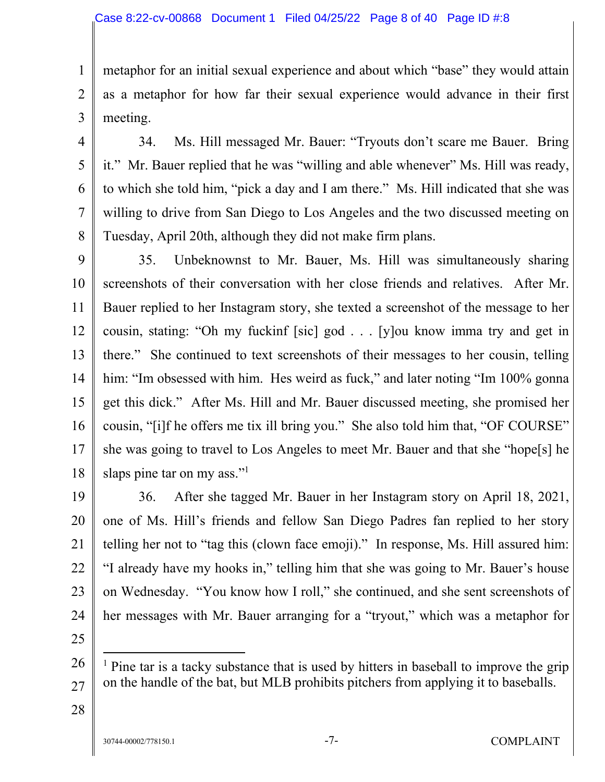metaphor for an initial sexual experience and about which "base" they would attain as a metaphor for how far their sexual experience would advance in their first meeting.

4 5

6

7

8

1

2

3

34. Ms. Hill messaged Mr. Bauer: "Tryouts don't scare me Bauer. Bring it." Mr. Bauer replied that he was "willing and able whenever" Ms. Hill was ready, to which she told him, "pick a day and I am there." Ms. Hill indicated that she was willing to drive from San Diego to Los Angeles and the two discussed meeting on Tuesday, April 20th, although they did not make firm plans.

9 10 11 12 13 14 15 16 17 18 35. Unbeknownst to Mr. Bauer, Ms. Hill was simultaneously sharing screenshots of their conversation with her close friends and relatives. After Mr. Bauer replied to her Instagram story, she texted a screenshot of the message to her cousin, stating: "Oh my fuckinf [sic] god . . . [y]ou know imma try and get in there." She continued to text screenshots of their messages to her cousin, telling him: "Im obsessed with him. Hes weird as fuck," and later noting "Im 100% gonna get this dick." After Ms. Hill and Mr. Bauer discussed meeting, she promised her cousin, "[i]f he offers me tix ill bring you." She also told him that, "OF COURSE" she was going to travel to Los Angeles to meet Mr. Bauer and that she "hope[s] he slaps pine tar on my ass."<sup>1</sup>

19 20 21 22 23 24 36. After she tagged Mr. Bauer in her Instagram story on April 18, 2021, one of Ms. Hill's friends and fellow San Diego Padres fan replied to her story telling her not to "tag this (clown face emoji)." In response, Ms. Hill assured him: "I already have my hooks in," telling him that she was going to Mr. Bauer's house on Wednesday. "You know how I roll," she continued, and she sent screenshots of her messages with Mr. Bauer arranging for a "tryout," which was a metaphor for

25

26 27 <sup>1</sup> Pine tar is a tacky substance that is used by hitters in baseball to improve the grip on the handle of the bat, but MLB prohibits pitchers from applying it to baseballs.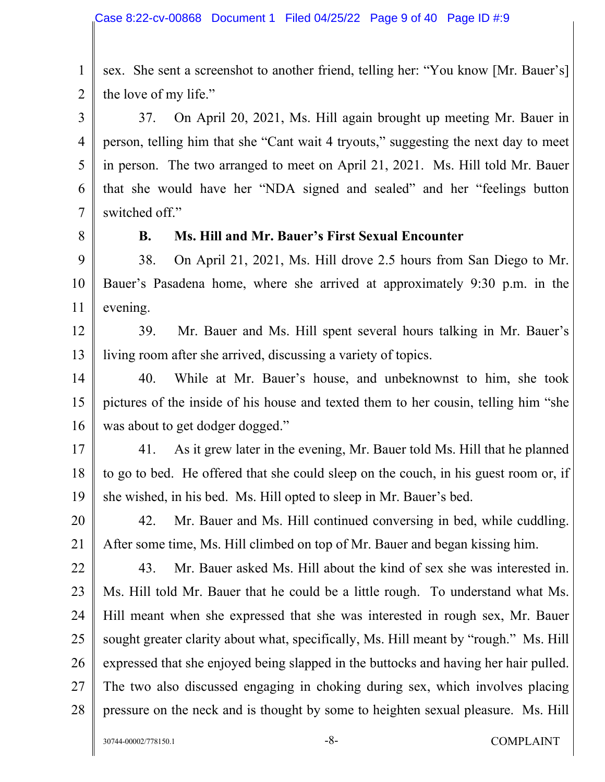1 2 sex. She sent a screenshot to another friend, telling her: "You know [Mr. Bauer's] the love of my life."

3 4 5 6 7 37. On April 20, 2021, Ms. Hill again brought up meeting Mr. Bauer in person, telling him that she "Cant wait 4 tryouts," suggesting the next day to meet in person. The two arranged to meet on April 21, 2021. Ms. Hill told Mr. Bauer that she would have her "NDA signed and sealed" and her "feelings button switched off."

8

#### **B. Ms. Hill and Mr. Bauer's First Sexual Encounter**

9 10 11 38. On April 21, 2021, Ms. Hill drove 2.5 hours from San Diego to Mr. Bauer's Pasadena home, where she arrived at approximately 9:30 p.m. in the evening.

12 13 39. Mr. Bauer and Ms. Hill spent several hours talking in Mr. Bauer's living room after she arrived, discussing a variety of topics.

14 15 16 40. While at Mr. Bauer's house, and unbeknownst to him, she took pictures of the inside of his house and texted them to her cousin, telling him "she was about to get dodger dogged."

17 18 19 41. As it grew later in the evening, Mr. Bauer told Ms. Hill that he planned to go to bed. He offered that she could sleep on the couch, in his guest room or, if she wished, in his bed. Ms. Hill opted to sleep in Mr. Bauer's bed.

20 21 42. Mr. Bauer and Ms. Hill continued conversing in bed, while cuddling. After some time, Ms. Hill climbed on top of Mr. Bauer and began kissing him.

22 23 24 25 26 27 28 43. Mr. Bauer asked Ms. Hill about the kind of sex she was interested in. Ms. Hill told Mr. Bauer that he could be a little rough. To understand what Ms. Hill meant when she expressed that she was interested in rough sex, Mr. Bauer sought greater clarity about what, specifically, Ms. Hill meant by "rough." Ms. Hill expressed that she enjoyed being slapped in the buttocks and having her hair pulled. The two also discussed engaging in choking during sex, which involves placing pressure on the neck and is thought by some to heighten sexual pleasure. Ms. Hill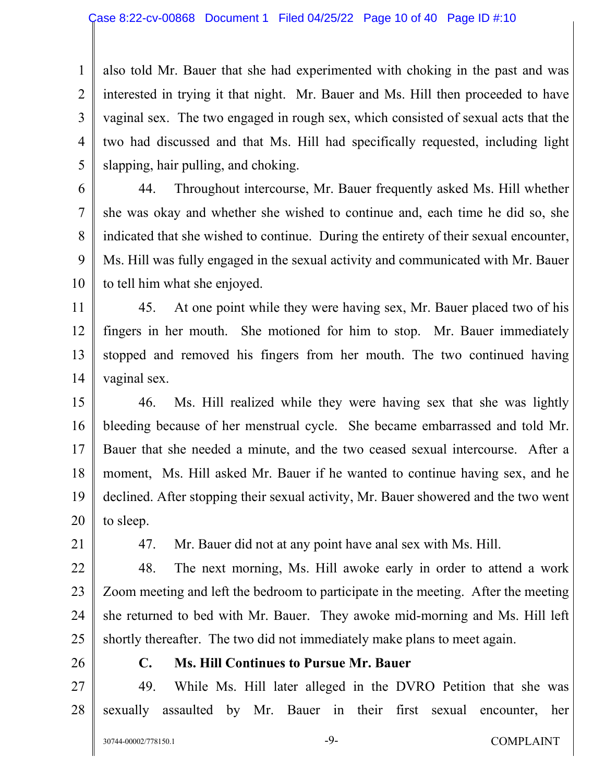1 2 3 4 5 also told Mr. Bauer that she had experimented with choking in the past and was interested in trying it that night. Mr. Bauer and Ms. Hill then proceeded to have vaginal sex. The two engaged in rough sex, which consisted of sexual acts that the two had discussed and that Ms. Hill had specifically requested, including light slapping, hair pulling, and choking.

6 7 8 9 10 44. Throughout intercourse, Mr. Bauer frequently asked Ms. Hill whether she was okay and whether she wished to continue and, each time he did so, she indicated that she wished to continue. During the entirety of their sexual encounter, Ms. Hill was fully engaged in the sexual activity and communicated with Mr. Bauer to tell him what she enjoyed.

11 12 13 14 45. At one point while they were having sex, Mr. Bauer placed two of his fingers in her mouth. She motioned for him to stop. Mr. Bauer immediately stopped and removed his fingers from her mouth. The two continued having vaginal sex.

15 16 17 18 19 20 46. Ms. Hill realized while they were having sex that she was lightly bleeding because of her menstrual cycle. She became embarrassed and told Mr. Bauer that she needed a minute, and the two ceased sexual intercourse. After a moment, Ms. Hill asked Mr. Bauer if he wanted to continue having sex, and he declined. After stopping their sexual activity, Mr. Bauer showered and the two went to sleep.

21

47. Mr. Bauer did not at any point have anal sex with Ms. Hill.

22 23 24 25 48. The next morning, Ms. Hill awoke early in order to attend a work Zoom meeting and left the bedroom to participate in the meeting. After the meeting she returned to bed with Mr. Bauer. They awoke mid-morning and Ms. Hill left shortly thereafter. The two did not immediately make plans to meet again.

26

#### **C. Ms. Hill Continues to Pursue Mr. Bauer**

27 28 49. While Ms. Hill later alleged in the DVRO Petition that she was sexually assaulted by Mr. Bauer in their first sexual encounter, her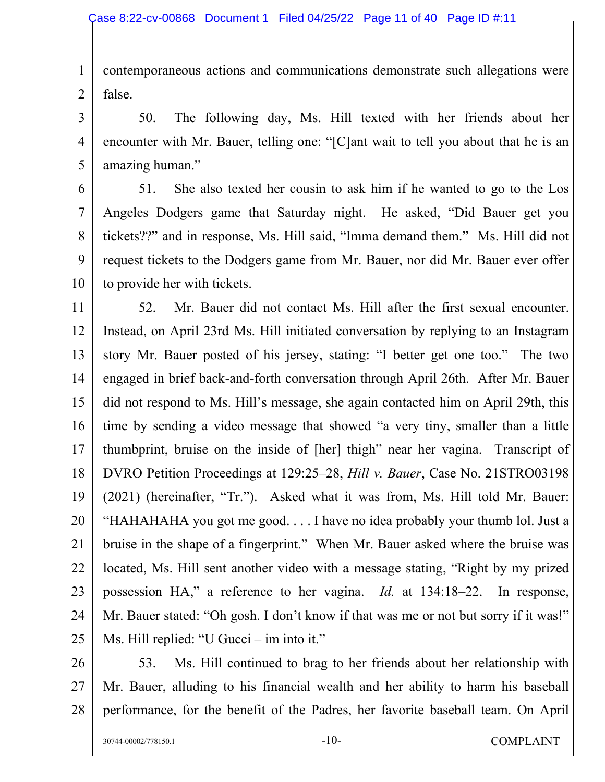1 2 contemporaneous actions and communications demonstrate such allegations were false.

3 4 5 50. The following day, Ms. Hill texted with her friends about her encounter with Mr. Bauer, telling one: "[C]ant wait to tell you about that he is an amazing human."

6 7 8 9 10 51. She also texted her cousin to ask him if he wanted to go to the Los Angeles Dodgers game that Saturday night. He asked, "Did Bauer get you tickets??" and in response, Ms. Hill said, "Imma demand them." Ms. Hill did not request tickets to the Dodgers game from Mr. Bauer, nor did Mr. Bauer ever offer to provide her with tickets.

11 12 13 14 15 16 17 18 19 20 21 22 23 24 25 52. Mr. Bauer did not contact Ms. Hill after the first sexual encounter. Instead, on April 23rd Ms. Hill initiated conversation by replying to an Instagram story Mr. Bauer posted of his jersey, stating: "I better get one too." The two engaged in brief back-and-forth conversation through April 26th. After Mr. Bauer did not respond to Ms. Hill's message, she again contacted him on April 29th, this time by sending a video message that showed "a very tiny, smaller than a little thumbprint, bruise on the inside of [her] thigh" near her vagina. Transcript of DVRO Petition Proceedings at 129:25–28, *Hill v. Bauer*, Case No. 21STRO03198 (2021) (hereinafter, "Tr."). Asked what it was from, Ms. Hill told Mr. Bauer: "HAHAHAHA you got me good. . . . I have no idea probably your thumb lol. Just a bruise in the shape of a fingerprint." When Mr. Bauer asked where the bruise was located, Ms. Hill sent another video with a message stating, "Right by my prized possession HA," a reference to her vagina. *Id.* at 134:18–22. In response, Mr. Bauer stated: "Oh gosh. I don't know if that was me or not but sorry if it was!" Ms. Hill replied: "U Gucci – im into it."

- 26
- 27 28

53. Ms. Hill continued to brag to her friends about her relationship with Mr. Bauer, alluding to his financial wealth and her ability to harm his baseball performance, for the benefit of the Padres, her favorite baseball team. On April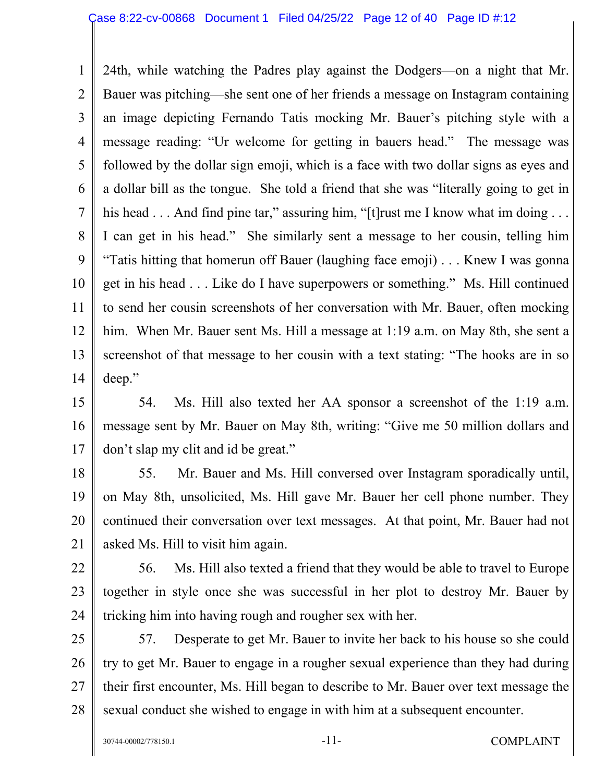1 2 3 4 5 6 7 8 9 10 11 12 13 14 24th, while watching the Padres play against the Dodgers—on a night that Mr. Bauer was pitching—she sent one of her friends a message on Instagram containing an image depicting Fernando Tatis mocking Mr. Bauer's pitching style with a message reading: "Ur welcome for getting in bauers head." The message was followed by the dollar sign emoji, which is a face with two dollar signs as eyes and a dollar bill as the tongue. She told a friend that she was "literally going to get in his head . . . And find pine tar," assuring him, "[t] rust me I know what im doing . . . I can get in his head." She similarly sent a message to her cousin, telling him "Tatis hitting that homerun off Bauer (laughing face emoji) . . . Knew I was gonna get in his head . . . Like do I have superpowers or something." Ms. Hill continued to send her cousin screenshots of her conversation with Mr. Bauer, often mocking him. When Mr. Bauer sent Ms. Hill a message at 1:19 a.m. on May 8th, she sent a screenshot of that message to her cousin with a text stating: "The hooks are in so deep."

15 16 17 54. Ms. Hill also texted her AA sponsor a screenshot of the 1:19 a.m. message sent by Mr. Bauer on May 8th, writing: "Give me 50 million dollars and don't slap my clit and id be great."

18 19 20 21 55. Mr. Bauer and Ms. Hill conversed over Instagram sporadically until, on May 8th, unsolicited, Ms. Hill gave Mr. Bauer her cell phone number. They continued their conversation over text messages. At that point, Mr. Bauer had not asked Ms. Hill to visit him again.

22 23 24 56. Ms. Hill also texted a friend that they would be able to travel to Europe together in style once she was successful in her plot to destroy Mr. Bauer by tricking him into having rough and rougher sex with her.

25 26 27 28 57. Desperate to get Mr. Bauer to invite her back to his house so she could try to get Mr. Bauer to engage in a rougher sexual experience than they had during their first encounter, Ms. Hill began to describe to Mr. Bauer over text message the sexual conduct she wished to engage in with him at a subsequent encounter.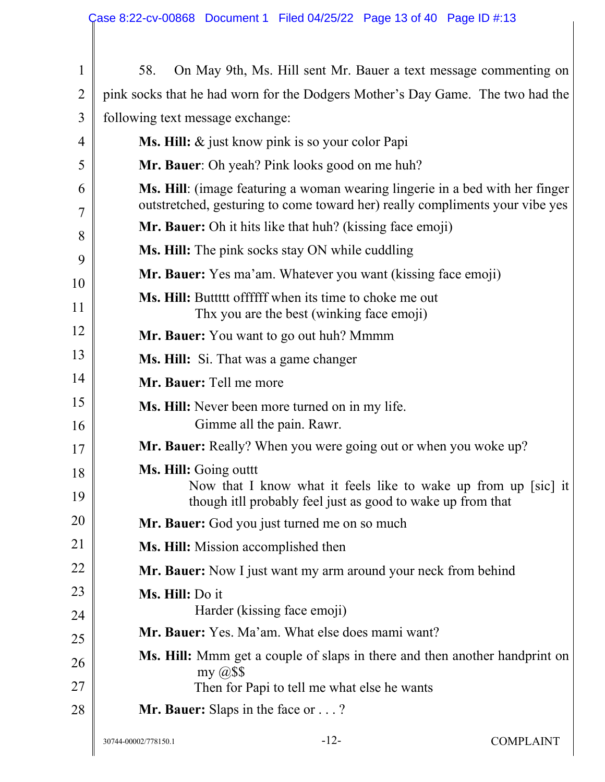| $\mathbf{1}$   | On May 9th, Ms. Hill sent Mr. Bauer a text message commenting on<br>58.                                                                                      |  |  |  |  |  |
|----------------|--------------------------------------------------------------------------------------------------------------------------------------------------------------|--|--|--|--|--|
| $\overline{2}$ | pink socks that he had worn for the Dodgers Mother's Day Game. The two had the                                                                               |  |  |  |  |  |
| 3              | following text message exchange:                                                                                                                             |  |  |  |  |  |
| 4              | Ms. Hill: & just know pink is so your color Papi                                                                                                             |  |  |  |  |  |
| 5              | Mr. Bauer: Oh yeah? Pink looks good on me huh?                                                                                                               |  |  |  |  |  |
| 6<br>7         | Ms. Hill: (image featuring a woman wearing lingerie in a bed with her finger<br>outstretched, gesturing to come toward her) really compliments your vibe yes |  |  |  |  |  |
| 8              | <b>Mr. Bauer:</b> Oh it hits like that huh? (kissing face emoji)                                                                                             |  |  |  |  |  |
| 9              | <b>Ms. Hill:</b> The pink socks stay ON while cuddling                                                                                                       |  |  |  |  |  |
| 10             | Mr. Bauer: Yes ma'am. Whatever you want (kissing face emoji)                                                                                                 |  |  |  |  |  |
| 11             | <b>Ms. Hill:</b> Buttitt offffff when its time to choke me out<br>Thx you are the best (winking face emoji)                                                  |  |  |  |  |  |
| 12             | Mr. Bauer: You want to go out huh? Mmmm                                                                                                                      |  |  |  |  |  |
| 13             | Ms. Hill: Si. That was a game changer                                                                                                                        |  |  |  |  |  |
| 14             | Mr. Bauer: Tell me more                                                                                                                                      |  |  |  |  |  |
| 15<br>16       | Ms. Hill: Never been more turned on in my life.<br>Gimme all the pain. Rawr.                                                                                 |  |  |  |  |  |
| 17             | Mr. Bauer: Really? When you were going out or when you woke up?                                                                                              |  |  |  |  |  |
| 18<br>19       | Ms. Hill: Going outtt<br>Now that I know what it feels like to wake up from up [sic] it<br>though itll probably feel just as good to wake up from that       |  |  |  |  |  |
| 20             | Mr. Bauer: God you just turned me on so much                                                                                                                 |  |  |  |  |  |
| 21             | Ms. Hill: Mission accomplished then                                                                                                                          |  |  |  |  |  |
| 22             | Mr. Bauer: Now I just want my arm around your neck from behind                                                                                               |  |  |  |  |  |
| 23             | Ms. Hill: Do it                                                                                                                                              |  |  |  |  |  |
| 24             | Harder (kissing face emoji)                                                                                                                                  |  |  |  |  |  |
| 25             | Mr. Bauer: Yes. Ma'am. What else does mami want?                                                                                                             |  |  |  |  |  |
| 26<br>27       | Ms. Hill: Mmm get a couple of slaps in there and then another handprint on<br>my $\omega$ \$\$<br>Then for Papi to tell me what else he wants                |  |  |  |  |  |
| 28             | <b>Mr. Bauer:</b> Slaps in the face or $\dots$ ?                                                                                                             |  |  |  |  |  |
|                | $-12-$<br><b>COMPLAINT</b><br>30744-00002/778150.1                                                                                                           |  |  |  |  |  |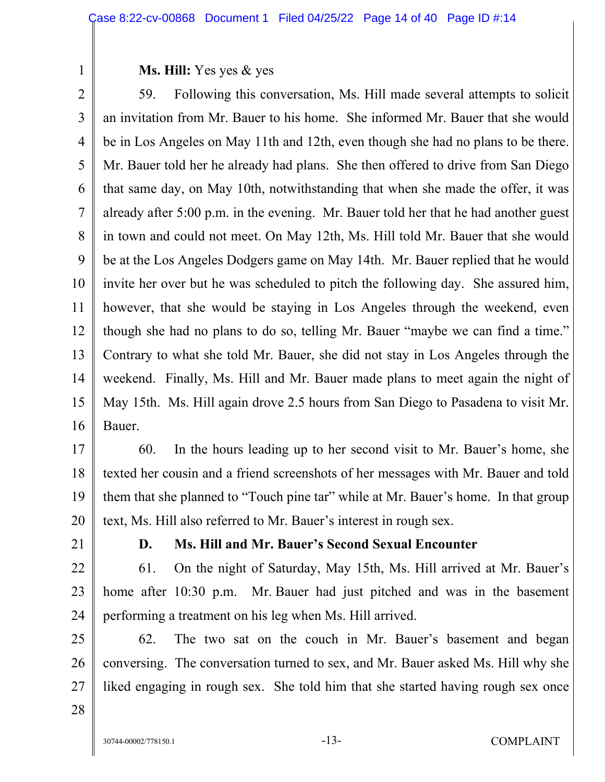### **Ms. Hill:** Yes yes & yes

2 3 4 5 6 7 8 9 10 11 12 13 14 15 16 59. Following this conversation, Ms. Hill made several attempts to solicit an invitation from Mr. Bauer to his home. She informed Mr. Bauer that she would be in Los Angeles on May 11th and 12th, even though she had no plans to be there. Mr. Bauer told her he already had plans. She then offered to drive from San Diego that same day, on May 10th, notwithstanding that when she made the offer, it was already after 5:00 p.m. in the evening. Mr. Bauer told her that he had another guest in town and could not meet. On May 12th, Ms. Hill told Mr. Bauer that she would be at the Los Angeles Dodgers game on May 14th. Mr. Bauer replied that he would invite her over but he was scheduled to pitch the following day. She assured him, however, that she would be staying in Los Angeles through the weekend, even though she had no plans to do so, telling Mr. Bauer "maybe we can find a time." Contrary to what she told Mr. Bauer, she did not stay in Los Angeles through the weekend. Finally, Ms. Hill and Mr. Bauer made plans to meet again the night of May 15th. Ms. Hill again drove 2.5 hours from San Diego to Pasadena to visit Mr. Bauer.

17 18 19 20 60. In the hours leading up to her second visit to Mr. Bauer's home, she texted her cousin and a friend screenshots of her messages with Mr. Bauer and told them that she planned to "Touch pine tar" while at Mr. Bauer's home. In that group text, Ms. Hill also referred to Mr. Bauer's interest in rough sex.

21

1

## **D. Ms. Hill and Mr. Bauer's Second Sexual Encounter**

22 23 24 61. On the night of Saturday, May 15th, Ms. Hill arrived at Mr. Bauer's home after 10:30 p.m. Mr. Bauer had just pitched and was in the basement performing a treatment on his leg when Ms. Hill arrived.

25 26 27 62. The two sat on the couch in Mr. Bauer's basement and began conversing. The conversation turned to sex, and Mr. Bauer asked Ms. Hill why she liked engaging in rough sex. She told him that she started having rough sex once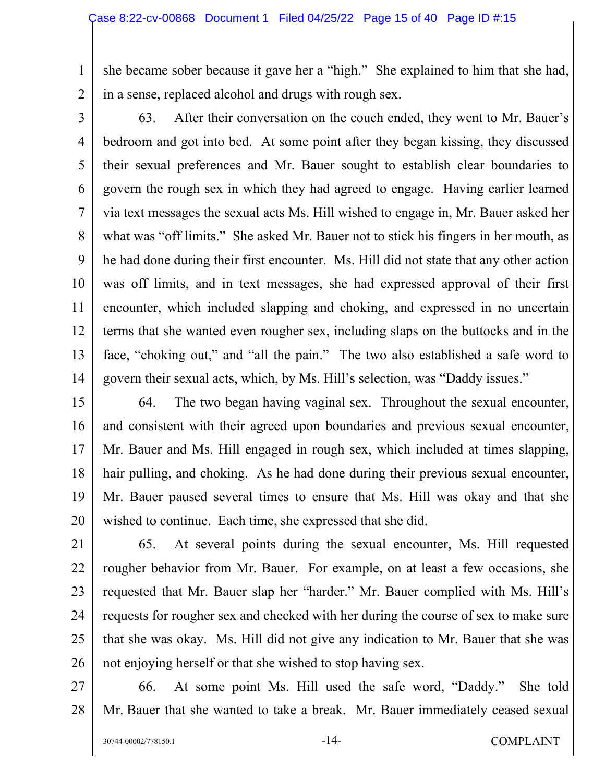1 2 she became sober because it gave her a "high." She explained to him that she had, in a sense, replaced alcohol and drugs with rough sex.

3

5

4 6 7 8 9 10 11 12 13 14 63. After their conversation on the couch ended, they went to Mr. Bauer's bedroom and got into bed. At some point after they began kissing, they discussed their sexual preferences and Mr. Bauer sought to establish clear boundaries to govern the rough sex in which they had agreed to engage. Having earlier learned via text messages the sexual acts Ms. Hill wished to engage in, Mr. Bauer asked her what was "off limits." She asked Mr. Bauer not to stick his fingers in her mouth, as he had done during their first encounter. Ms. Hill did not state that any other action was off limits, and in text messages, she had expressed approval of their first encounter, which included slapping and choking, and expressed in no uncertain terms that she wanted even rougher sex, including slaps on the buttocks and in the face, "choking out," and "all the pain." The two also established a safe word to govern their sexual acts, which, by Ms. Hill's selection, was "Daddy issues."

15 16 17 18 19 20 64. The two began having vaginal sex. Throughout the sexual encounter, and consistent with their agreed upon boundaries and previous sexual encounter, Mr. Bauer and Ms. Hill engaged in rough sex, which included at times slapping, hair pulling, and choking. As he had done during their previous sexual encounter, Mr. Bauer paused several times to ensure that Ms. Hill was okay and that she wished to continue. Each time, she expressed that she did.

21 22 23 24 25 26 65. At several points during the sexual encounter, Ms. Hill requested rougher behavior from Mr. Bauer. For example, on at least a few occasions, she requested that Mr. Bauer slap her "harder." Mr. Bauer complied with Ms. Hill's requests for rougher sex and checked with her during the course of sex to make sure that she was okay. Ms. Hill did not give any indication to Mr. Bauer that she was not enjoying herself or that she wished to stop having sex.

27 28 66. At some point Ms. Hill used the safe word, "Daddy." She told Mr. Bauer that she wanted to take a break. Mr. Bauer immediately ceased sexual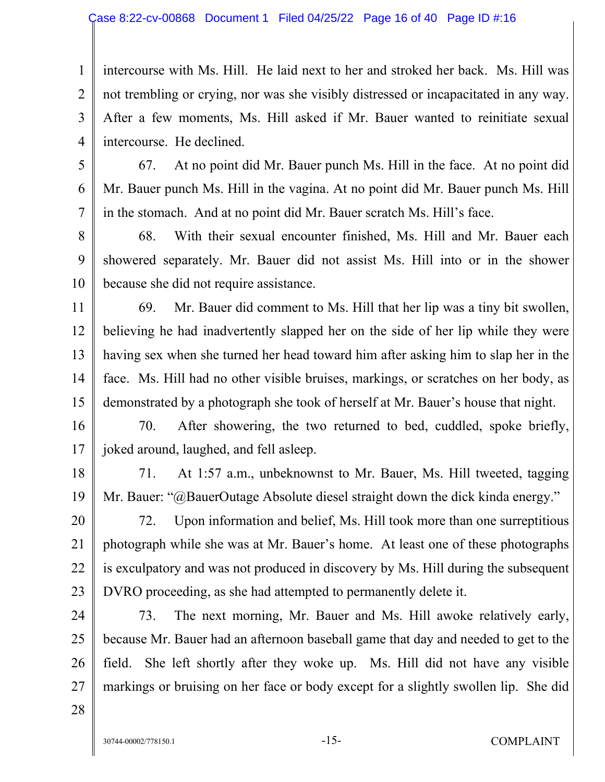3 4 intercourse with Ms. Hill. He laid next to her and stroked her back. Ms. Hill was not trembling or crying, nor was she visibly distressed or incapacitated in any way. After a few moments, Ms. Hill asked if Mr. Bauer wanted to reinitiate sexual intercourse. He declined.

5

6

7

1

2

67. At no point did Mr. Bauer punch Ms. Hill in the face. At no point did Mr. Bauer punch Ms. Hill in the vagina. At no point did Mr. Bauer punch Ms. Hill in the stomach. And at no point did Mr. Bauer scratch Ms. Hill's face.

8 9 10 68. With their sexual encounter finished, Ms. Hill and Mr. Bauer each showered separately. Mr. Bauer did not assist Ms. Hill into or in the shower because she did not require assistance.

11 12 13 14 15 69. Mr. Bauer did comment to Ms. Hill that her lip was a tiny bit swollen, believing he had inadvertently slapped her on the side of her lip while they were having sex when she turned her head toward him after asking him to slap her in the face. Ms. Hill had no other visible bruises, markings, or scratches on her body, as demonstrated by a photograph she took of herself at Mr. Bauer's house that night.

16 17 70. After showering, the two returned to bed, cuddled, spoke briefly, joked around, laughed, and fell asleep.

18 19 71. At 1:57 a.m., unbeknownst to Mr. Bauer, Ms. Hill tweeted, tagging Mr. Bauer: "@BauerOutage Absolute diesel straight down the dick kinda energy."

20 21 22 23 72. Upon information and belief, Ms. Hill took more than one surreptitious photograph while she was at Mr. Bauer's home. At least one of these photographs is exculpatory and was not produced in discovery by Ms. Hill during the subsequent DVRO proceeding, as she had attempted to permanently delete it.

24 25 26 27 73. The next morning, Mr. Bauer and Ms. Hill awoke relatively early, because Mr. Bauer had an afternoon baseball game that day and needed to get to the field. She left shortly after they woke up. Ms. Hill did not have any visible markings or bruising on her face or body except for a slightly swollen lip. She did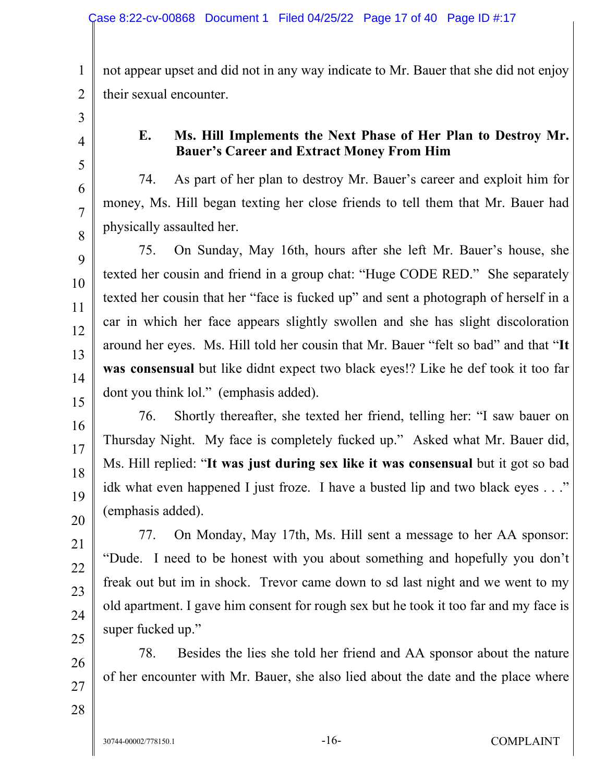1 2 not appear upset and did not in any way indicate to Mr. Bauer that she did not enjoy their sexual encounter.

3

4

5

6

7

8

9

10

11

12

13

14

15

16

17

18

19

20

21

22

23

24

25

26

## **E. Ms. Hill Implements the Next Phase of Her Plan to Destroy Mr. Bauer's Career and Extract Money From Him**

74. As part of her plan to destroy Mr. Bauer's career and exploit him for money, Ms. Hill began texting her close friends to tell them that Mr. Bauer had physically assaulted her.

75. On Sunday, May 16th, hours after she left Mr. Bauer's house, she texted her cousin and friend in a group chat: "Huge CODE RED." She separately texted her cousin that her "face is fucked up" and sent a photograph of herself in a car in which her face appears slightly swollen and she has slight discoloration around her eyes. Ms. Hill told her cousin that Mr. Bauer "felt so bad" and that "**It was consensual** but like didnt expect two black eyes!? Like he def took it too far dont you think lol." (emphasis added).

76. Shortly thereafter, she texted her friend, telling her: "I saw bauer on Thursday Night. My face is completely fucked up." Asked what Mr. Bauer did, Ms. Hill replied: "**It was just during sex like it was consensual** but it got so bad idk what even happened I just froze. I have a busted lip and two black eyes . . ." (emphasis added).

77. On Monday, May 17th, Ms. Hill sent a message to her AA sponsor: "Dude. I need to be honest with you about something and hopefully you don't freak out but im in shock. Trevor came down to sd last night and we went to my old apartment. I gave him consent for rough sex but he took it too far and my face is super fucked up."

78. Besides the lies she told her friend and AA sponsor about the nature of her encounter with Mr. Bauer, she also lied about the date and the place where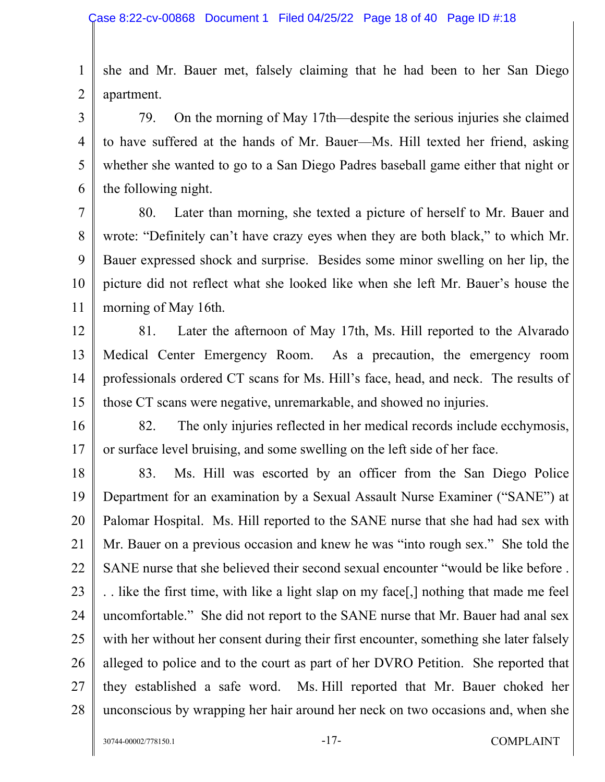1 2 she and Mr. Bauer met, falsely claiming that he had been to her San Diego apartment.

3 4 5 6 79. On the morning of May 17th—despite the serious injuries she claimed to have suffered at the hands of Mr. Bauer—Ms. Hill texted her friend, asking whether she wanted to go to a San Diego Padres baseball game either that night or the following night.

7 8 9 10 11 80. Later than morning, she texted a picture of herself to Mr. Bauer and wrote: "Definitely can't have crazy eyes when they are both black," to which Mr. Bauer expressed shock and surprise. Besides some minor swelling on her lip, the picture did not reflect what she looked like when she left Mr. Bauer's house the morning of May 16th.

- 12 13 14 15 81. Later the afternoon of May 17th, Ms. Hill reported to the Alvarado Medical Center Emergency Room. As a precaution, the emergency room professionals ordered CT scans for Ms. Hill's face, head, and neck. The results of those CT scans were negative, unremarkable, and showed no injuries.
- 16 17 82. The only injuries reflected in her medical records include ecchymosis, or surface level bruising, and some swelling on the left side of her face.

18 19 20 21 22 23 24 25 26 27 28 83. Ms. Hill was escorted by an officer from the San Diego Police Department for an examination by a Sexual Assault Nurse Examiner ("SANE") at Palomar Hospital. Ms. Hill reported to the SANE nurse that she had had sex with Mr. Bauer on a previous occasion and knew he was "into rough sex." She told the SANE nurse that she believed their second sexual encounter "would be like before . . . like the first time, with like a light slap on my face[,] nothing that made me feel uncomfortable." She did not report to the SANE nurse that Mr. Bauer had anal sex with her without her consent during their first encounter, something she later falsely alleged to police and to the court as part of her DVRO Petition. She reported that they established a safe word. Ms. Hill reported that Mr. Bauer choked her unconscious by wrapping her hair around her neck on two occasions and, when she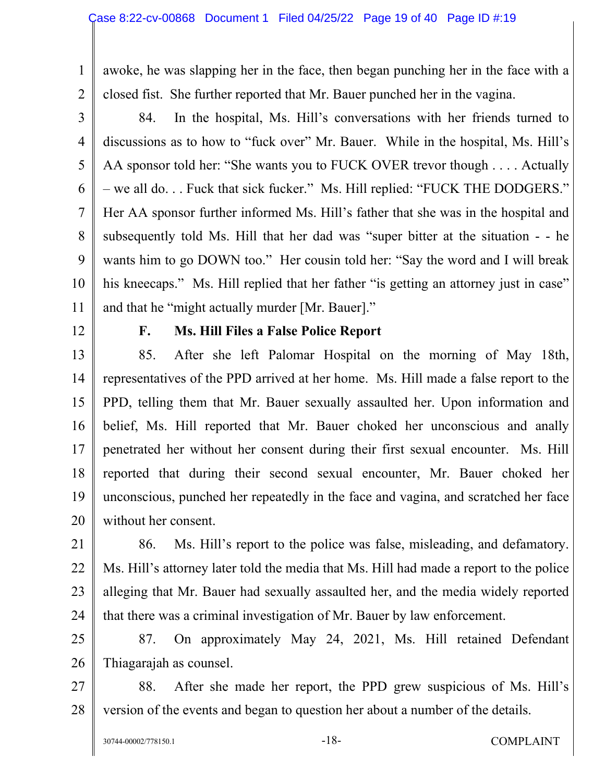awoke, he was slapping her in the face, then began punching her in the face with a closed fist. She further reported that Mr. Bauer punched her in the vagina.

2 3

5

6

7

8

9

1

4 10 84. In the hospital, Ms. Hill's conversations with her friends turned to discussions as to how to "fuck over" Mr. Bauer. While in the hospital, Ms. Hill's AA sponsor told her: "She wants you to FUCK OVER trevor though . . . . Actually – we all do. . . Fuck that sick fucker." Ms. Hill replied: "FUCK THE DODGERS." Her AA sponsor further informed Ms. Hill's father that she was in the hospital and subsequently told Ms. Hill that her dad was "super bitter at the situation - - he wants him to go DOWN too." Her cousin told her: "Say the word and I will break his kneecaps." Ms. Hill replied that her father "is getting an attorney just in case" and that he "might actually murder [Mr. Bauer]."

12

11

## **F. Ms. Hill Files a False Police Report**

13 14 15 16 17 18 19 20 85. After she left Palomar Hospital on the morning of May 18th, representatives of the PPD arrived at her home. Ms. Hill made a false report to the PPD, telling them that Mr. Bauer sexually assaulted her. Upon information and belief, Ms. Hill reported that Mr. Bauer choked her unconscious and anally penetrated her without her consent during their first sexual encounter. Ms. Hill reported that during their second sexual encounter, Mr. Bauer choked her unconscious, punched her repeatedly in the face and vagina, and scratched her face without her consent.

21 22 23 24 86. Ms. Hill's report to the police was false, misleading, and defamatory. Ms. Hill's attorney later told the media that Ms. Hill had made a report to the police alleging that Mr. Bauer had sexually assaulted her, and the media widely reported that there was a criminal investigation of Mr. Bauer by law enforcement.

25 26 87. On approximately May 24, 2021, Ms. Hill retained Defendant Thiagarajah as counsel.

27 28 88. After she made her report, the PPD grew suspicious of Ms. Hill's version of the events and began to question her about a number of the details.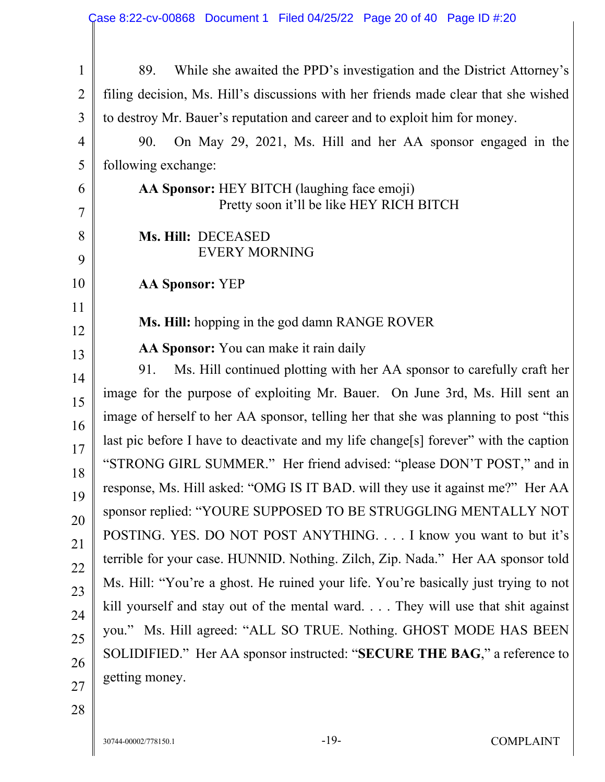| $\mathbf{1}$ | While she awaited the PPD's investigation and the District Attorney's<br>89.            |  |  |  |  |
|--------------|-----------------------------------------------------------------------------------------|--|--|--|--|
| 2            | filing decision, Ms. Hill's discussions with her friends made clear that she wished     |  |  |  |  |
| 3            | to destroy Mr. Bauer's reputation and career and to exploit him for money.              |  |  |  |  |
| 4            | On May 29, 2021, Ms. Hill and her AA sponsor engaged in the<br>90.                      |  |  |  |  |
| 5            | following exchange:                                                                     |  |  |  |  |
| 6<br>7       | AA Sponsor: HEY BITCH (laughing face emoji)<br>Pretty soon it'll be like HEY RICH BITCH |  |  |  |  |
| 8<br>9       | Ms. Hill: DECEASED<br><b>EVERY MORNING</b>                                              |  |  |  |  |
| 10           | <b>AA Sponsor: YEP</b>                                                                  |  |  |  |  |
| 11<br>12     | Ms. Hill: hopping in the god damn RANGE ROVER                                           |  |  |  |  |
| 13           | AA Sponsor: You can make it rain daily                                                  |  |  |  |  |
| 14           | Ms. Hill continued plotting with her AA sponsor to carefully craft her<br>91.           |  |  |  |  |
| 15           | image for the purpose of exploiting Mr. Bauer. On June 3rd, Ms. Hill sent an            |  |  |  |  |
| 16           | image of herself to her AA sponsor, telling her that she was planning to post "this     |  |  |  |  |
| 17           | last pic before I have to deactivate and my life change[s] forever" with the caption    |  |  |  |  |
| 18           | "STRONG GIRL SUMMER." Her friend advised: "please DON'T POST," and in                   |  |  |  |  |
| 19           | response, Ms. Hill asked: "OMG IS IT BAD. will they use it against me?" Her AA          |  |  |  |  |
| 20           | sponsor replied: "YOURE SUPPOSED TO BE STRUGGLING MENTALLY NOT                          |  |  |  |  |
| 21           | POSTING. YES. DO NOT POST ANYTHING. I know you want to but it's                         |  |  |  |  |
| 22           | terrible for your case. HUNNID. Nothing. Zilch, Zip. Nada." Her AA sponsor told         |  |  |  |  |
| 23           | Ms. Hill: "You're a ghost. He ruined your life. You're basically just trying to not     |  |  |  |  |
| 24           | kill yourself and stay out of the mental ward They will use that shit against           |  |  |  |  |
| 25           | you." Ms. Hill agreed: "ALL SO TRUE. Nothing. GHOST MODE HAS BEEN                       |  |  |  |  |
| 26           | SOLIDIFIED." Her AA sponsor instructed: "SECURE THE BAG," a reference to                |  |  |  |  |
| 27           | getting money.                                                                          |  |  |  |  |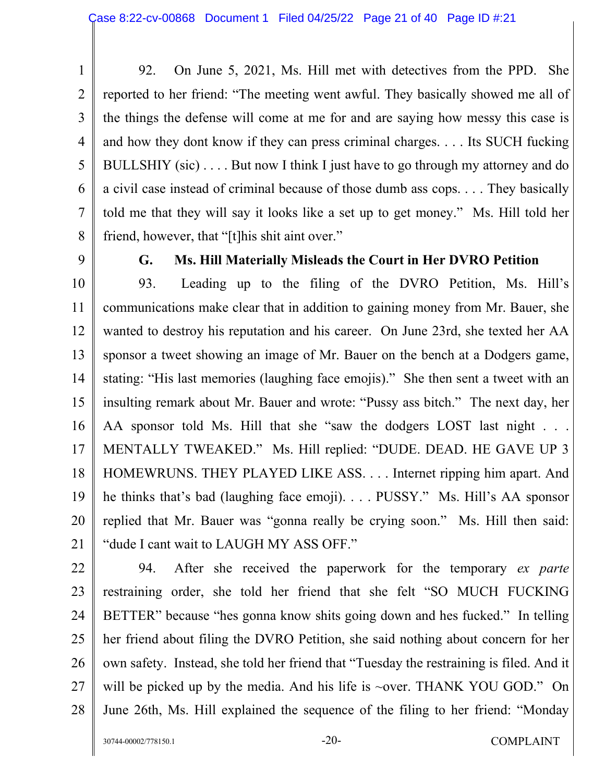1 2 3 4 5 6 7 8 92. On June 5, 2021, Ms. Hill met with detectives from the PPD. She reported to her friend: "The meeting went awful. They basically showed me all of the things the defense will come at me for and are saying how messy this case is and how they dont know if they can press criminal charges. . . . Its SUCH fucking BULLSHIY (sic) . . . . But now I think I just have to go through my attorney and do a civil case instead of criminal because of those dumb ass cops. . . . They basically told me that they will say it looks like a set up to get money." Ms. Hill told her friend, however, that "[t]his shit aint over."

9

## **G. Ms. Hill Materially Misleads the Court in Her DVRO Petition**

10 11 12 13 14 15 16 17 18 19 20 21 93. Leading up to the filing of the DVRO Petition, Ms. Hill's communications make clear that in addition to gaining money from Mr. Bauer, she wanted to destroy his reputation and his career. On June 23rd, she texted her AA sponsor a tweet showing an image of Mr. Bauer on the bench at a Dodgers game, stating: "His last memories (laughing face emojis)." She then sent a tweet with an insulting remark about Mr. Bauer and wrote: "Pussy ass bitch." The next day, her AA sponsor told Ms. Hill that she "saw the dodgers LOST last night . . . MENTALLY TWEAKED." Ms. Hill replied: "DUDE. DEAD. HE GAVE UP 3 HOMEWRUNS. THEY PLAYED LIKE ASS. . . . Internet ripping him apart. And he thinks that's bad (laughing face emoji). . . . PUSSY." Ms. Hill's AA sponsor replied that Mr. Bauer was "gonna really be crying soon." Ms. Hill then said: "dude I cant wait to LAUGH MY ASS OFF."

22

23 24 25 26 27 28 94. After she received the paperwork for the temporary *ex parte* restraining order, she told her friend that she felt "SO MUCH FUCKING BETTER" because "hes gonna know shits going down and hes fucked." In telling her friend about filing the DVRO Petition, she said nothing about concern for her own safety. Instead, she told her friend that "Tuesday the restraining is filed. And it will be picked up by the media. And his life is ~over. THANK YOU GOD." On June 26th, Ms. Hill explained the sequence of the filing to her friend: "Monday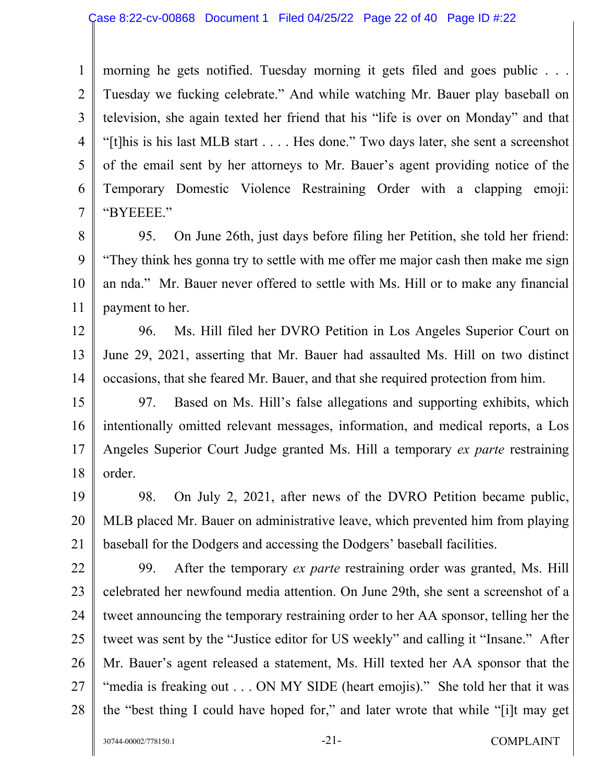1 2 3 4 5 6 7 morning he gets notified. Tuesday morning it gets filed and goes public . . . Tuesday we fucking celebrate." And while watching Mr. Bauer play baseball on television, she again texted her friend that his "life is over on Monday" and that "[t]his is his last MLB start . . . . Hes done." Two days later, she sent a screenshot of the email sent by her attorneys to Mr. Bauer's agent providing notice of the Temporary Domestic Violence Restraining Order with a clapping emoji: "BYEEEE."

8 9 10 11 95. On June 26th, just days before filing her Petition, she told her friend: "They think hes gonna try to settle with me offer me major cash then make me sign an nda." Mr. Bauer never offered to settle with Ms. Hill or to make any financial payment to her.

12 13 14 96. Ms. Hill filed her DVRO Petition in Los Angeles Superior Court on June 29, 2021, asserting that Mr. Bauer had assaulted Ms. Hill on two distinct occasions, that she feared Mr. Bauer, and that she required protection from him.

15 16 17 18 97. Based on Ms. Hill's false allegations and supporting exhibits, which intentionally omitted relevant messages, information, and medical reports, a Los Angeles Superior Court Judge granted Ms. Hill a temporary *ex parte* restraining order.

19 20 21 98. On July 2, 2021, after news of the DVRO Petition became public, MLB placed Mr. Bauer on administrative leave, which prevented him from playing baseball for the Dodgers and accessing the Dodgers' baseball facilities.

22 23 24 25 26 27 28 99. After the temporary *ex parte* restraining order was granted, Ms. Hill celebrated her newfound media attention. On June 29th, she sent a screenshot of a tweet announcing the temporary restraining order to her AA sponsor, telling her the tweet was sent by the "Justice editor for US weekly" and calling it "Insane." After Mr. Bauer's agent released a statement, Ms. Hill texted her AA sponsor that the "media is freaking out . . . ON MY SIDE (heart emojis)." She told her that it was the "best thing I could have hoped for," and later wrote that while "[i]t may get

30744-00002/778150.1 -21- -21- COMPLAINT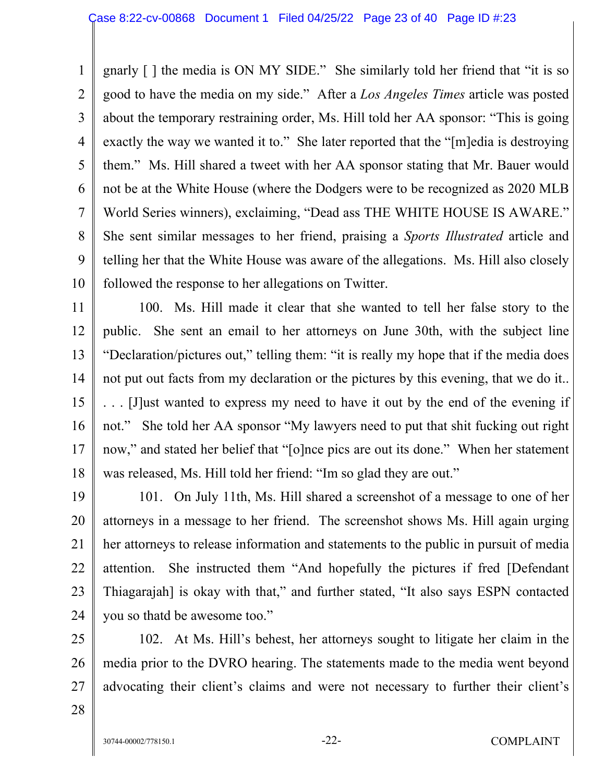1 2 3 4 5 6 7 8 9 10 gnarly [ ] the media is ON MY SIDE." She similarly told her friend that "it is so good to have the media on my side." After a *Los Angeles Times* article was posted about the temporary restraining order, Ms. Hill told her AA sponsor: "This is going exactly the way we wanted it to." She later reported that the "[m]edia is destroying them." Ms. Hill shared a tweet with her AA sponsor stating that Mr. Bauer would not be at the White House (where the Dodgers were to be recognized as 2020 MLB World Series winners), exclaiming, "Dead ass THE WHITE HOUSE IS AWARE." She sent similar messages to her friend, praising a *Sports Illustrated* article and telling her that the White House was aware of the allegations. Ms. Hill also closely followed the response to her allegations on Twitter.

11 12 13 14 15 16 17 18 100. Ms. Hill made it clear that she wanted to tell her false story to the public. She sent an email to her attorneys on June 30th, with the subject line "Declaration/pictures out," telling them: "it is really my hope that if the media does not put out facts from my declaration or the pictures by this evening, that we do it.. . . . [J]ust wanted to express my need to have it out by the end of the evening if not." She told her AA sponsor "My lawyers need to put that shit fucking out right now," and stated her belief that "[o]nce pics are out its done." When her statement was released, Ms. Hill told her friend: "Im so glad they are out."

19 20 21 22 23 24 101. On July 11th, Ms. Hill shared a screenshot of a message to one of her attorneys in a message to her friend. The screenshot shows Ms. Hill again urging her attorneys to release information and statements to the public in pursuit of media attention. She instructed them "And hopefully the pictures if fred [Defendant Thiagarajah] is okay with that," and further stated, "It also says ESPN contacted you so thatd be awesome too."

25 26 27 102. At Ms. Hill's behest, her attorneys sought to litigate her claim in the media prior to the DVRO hearing. The statements made to the media went beyond advocating their client's claims and were not necessary to further their client's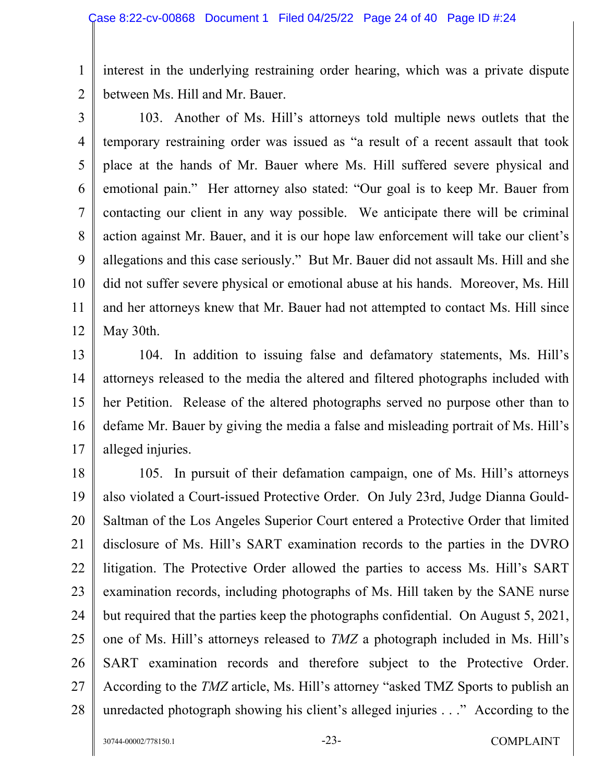1 2 interest in the underlying restraining order hearing, which was a private dispute between Ms. Hill and Mr. Bauer.

3

4 5 6 7 8 9 10 11 12 103. Another of Ms. Hill's attorneys told multiple news outlets that the temporary restraining order was issued as "a result of a recent assault that took place at the hands of Mr. Bauer where Ms. Hill suffered severe physical and emotional pain." Her attorney also stated: "Our goal is to keep Mr. Bauer from contacting our client in any way possible. We anticipate there will be criminal action against Mr. Bauer, and it is our hope law enforcement will take our client's allegations and this case seriously." But Mr. Bauer did not assault Ms. Hill and she did not suffer severe physical or emotional abuse at his hands. Moreover, Ms. Hill and her attorneys knew that Mr. Bauer had not attempted to contact Ms. Hill since May 30th.

13 14 15 16 17 104. In addition to issuing false and defamatory statements, Ms. Hill's attorneys released to the media the altered and filtered photographs included with her Petition. Release of the altered photographs served no purpose other than to defame Mr. Bauer by giving the media a false and misleading portrait of Ms. Hill's alleged injuries.

18 19 20 21 22 23 24 25 26 27 28 105. In pursuit of their defamation campaign, one of Ms. Hill's attorneys also violated a Court-issued Protective Order. On July 23rd, Judge Dianna Gould-Saltman of the Los Angeles Superior Court entered a Protective Order that limited disclosure of Ms. Hill's SART examination records to the parties in the DVRO litigation. The Protective Order allowed the parties to access Ms. Hill's SART examination records, including photographs of Ms. Hill taken by the SANE nurse but required that the parties keep the photographs confidential. On August 5, 2021, one of Ms. Hill's attorneys released to *TMZ* a photograph included in Ms. Hill's SART examination records and therefore subject to the Protective Order. According to the *TMZ* article, Ms. Hill's attorney "asked TMZ Sports to publish an unredacted photograph showing his client's alleged injuries . . ." According to the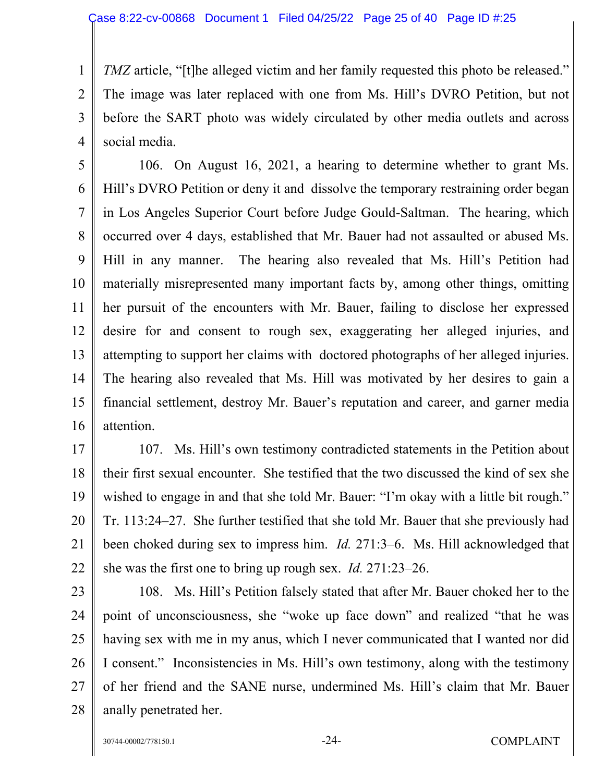1 2 3 4 *TMZ* article, "[t]he alleged victim and her family requested this photo be released." The image was later replaced with one from Ms. Hill's DVRO Petition, but not before the SART photo was widely circulated by other media outlets and across social media.

5 6 7 8 9 10 11 12 13 14 15 16 106. On August 16, 2021, a hearing to determine whether to grant Ms. Hill's DVRO Petition or deny it and dissolve the temporary restraining order began in Los Angeles Superior Court before Judge Gould-Saltman. The hearing, which occurred over 4 days, established that Mr. Bauer had not assaulted or abused Ms. Hill in any manner. The hearing also revealed that Ms. Hill's Petition had materially misrepresented many important facts by, among other things, omitting her pursuit of the encounters with Mr. Bauer, failing to disclose her expressed desire for and consent to rough sex, exaggerating her alleged injuries, and attempting to support her claims with doctored photographs of her alleged injuries. The hearing also revealed that Ms. Hill was motivated by her desires to gain a financial settlement, destroy Mr. Bauer's reputation and career, and garner media attention.

17 18 19 20 21 22 107. Ms. Hill's own testimony contradicted statements in the Petition about their first sexual encounter. She testified that the two discussed the kind of sex she wished to engage in and that she told Mr. Bauer: "I'm okay with a little bit rough." Tr. 113:24–27. She further testified that she told Mr. Bauer that she previously had been choked during sex to impress him. *Id.* 271:3–6. Ms. Hill acknowledged that she was the first one to bring up rough sex. *Id.* 271:23–26.

23 24 25 26 27 28 108. Ms. Hill's Petition falsely stated that after Mr. Bauer choked her to the point of unconsciousness, she "woke up face down" and realized "that he was having sex with me in my anus, which I never communicated that I wanted nor did I consent." Inconsistencies in Ms. Hill's own testimony, along with the testimony of her friend and the SANE nurse, undermined Ms. Hill's claim that Mr. Bauer anally penetrated her.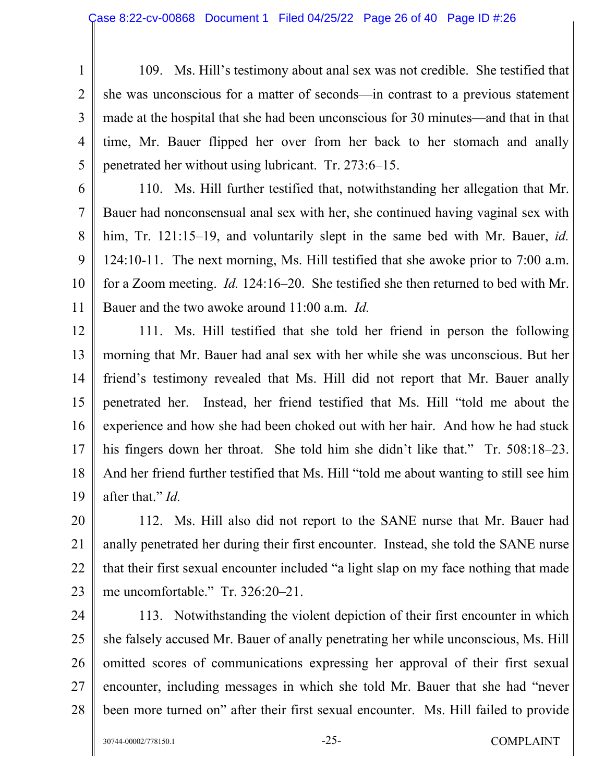1 2 3 4 5 109. Ms. Hill's testimony about anal sex was not credible. She testified that she was unconscious for a matter of seconds—in contrast to a previous statement made at the hospital that she had been unconscious for 30 minutes—and that in that time, Mr. Bauer flipped her over from her back to her stomach and anally penetrated her without using lubricant. Tr. 273:6–15.

6 7 8 9 10 11 110. Ms. Hill further testified that, notwithstanding her allegation that Mr. Bauer had nonconsensual anal sex with her, she continued having vaginal sex with him, Tr. 121:15–19, and voluntarily slept in the same bed with Mr. Bauer, *id.*  124:10-11. The next morning, Ms. Hill testified that she awoke prior to 7:00 a.m. for a Zoom meeting. *Id.* 124:16–20. She testified she then returned to bed with Mr. Bauer and the two awoke around 11:00 a.m. *Id.* 

12 13 14 15 16 17 18 19 111. Ms. Hill testified that she told her friend in person the following morning that Mr. Bauer had anal sex with her while she was unconscious. But her friend's testimony revealed that Ms. Hill did not report that Mr. Bauer anally penetrated her. Instead, her friend testified that Ms. Hill "told me about the experience and how she had been choked out with her hair. And how he had stuck his fingers down her throat. She told him she didn't like that." Tr. 508:18–23. And her friend further testified that Ms. Hill "told me about wanting to still see him after that." *Id.* 

20 21 22 23 112. Ms. Hill also did not report to the SANE nurse that Mr. Bauer had anally penetrated her during their first encounter. Instead, she told the SANE nurse that their first sexual encounter included "a light slap on my face nothing that made me uncomfortable." Tr. 326:20–21.

24 25 26 27 28 113. Notwithstanding the violent depiction of their first encounter in which she falsely accused Mr. Bauer of anally penetrating her while unconscious, Ms. Hill omitted scores of communications expressing her approval of their first sexual encounter, including messages in which she told Mr. Bauer that she had "never been more turned on" after their first sexual encounter. Ms. Hill failed to provide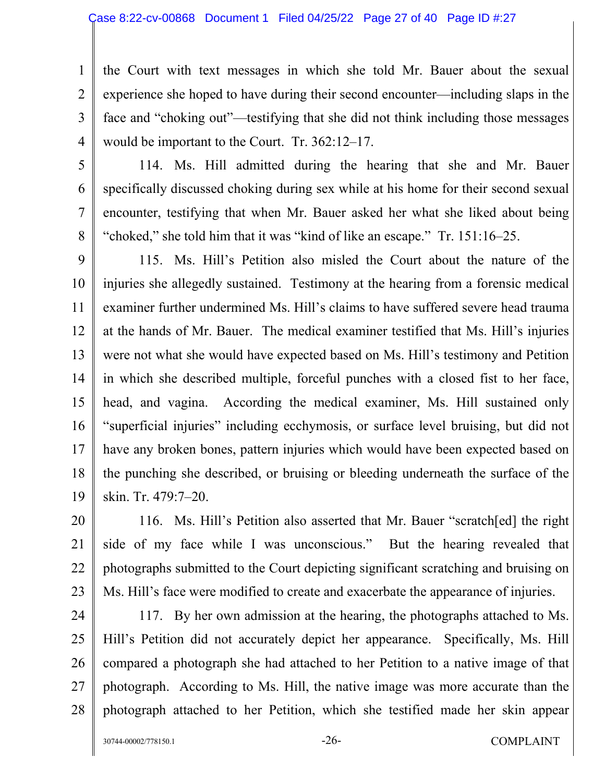1 2 3 4 the Court with text messages in which she told Mr. Bauer about the sexual experience she hoped to have during their second encounter—including slaps in the face and "choking out"—testifying that she did not think including those messages would be important to the Court. Tr. 362:12–17.

5

6

7

8

114. Ms. Hill admitted during the hearing that she and Mr. Bauer specifically discussed choking during sex while at his home for their second sexual encounter, testifying that when Mr. Bauer asked her what she liked about being "choked," she told him that it was "kind of like an escape." Tr. 151:16–25.

9 10 11 12 13 14 15 16 17 18 19 115. Ms. Hill's Petition also misled the Court about the nature of the injuries she allegedly sustained. Testimony at the hearing from a forensic medical examiner further undermined Ms. Hill's claims to have suffered severe head trauma at the hands of Mr. Bauer. The medical examiner testified that Ms. Hill's injuries were not what she would have expected based on Ms. Hill's testimony and Petition in which she described multiple, forceful punches with a closed fist to her face, head, and vagina. According the medical examiner, Ms. Hill sustained only "superficial injuries" including ecchymosis, or surface level bruising, but did not have any broken bones, pattern injuries which would have been expected based on the punching she described, or bruising or bleeding underneath the surface of the skin. Tr. 479:7–20.

20 21 22 23 116. Ms. Hill's Petition also asserted that Mr. Bauer "scratch[ed] the right side of my face while I was unconscious." But the hearing revealed that photographs submitted to the Court depicting significant scratching and bruising on Ms. Hill's face were modified to create and exacerbate the appearance of injuries.

24

25 26 27 28 117. By her own admission at the hearing, the photographs attached to Ms. Hill's Petition did not accurately depict her appearance. Specifically, Ms. Hill compared a photograph she had attached to her Petition to a native image of that photograph. According to Ms. Hill, the native image was more accurate than the photograph attached to her Petition, which she testified made her skin appear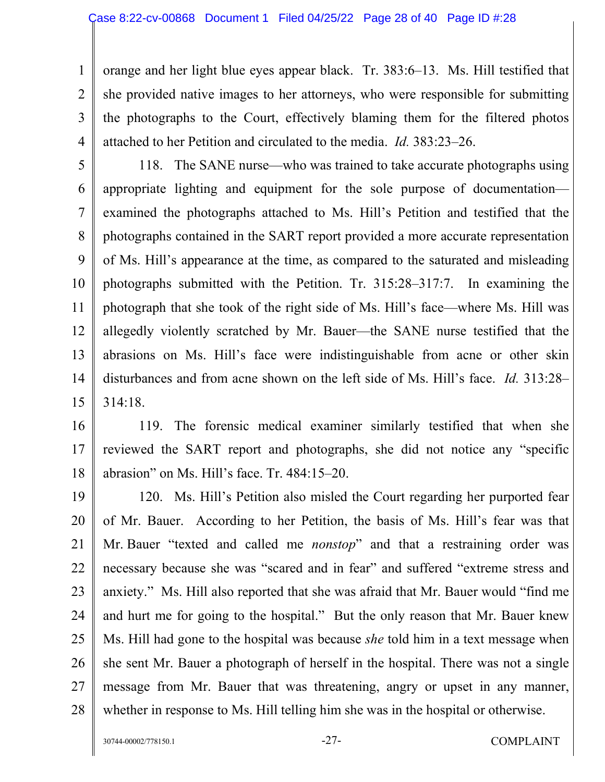1 2 3 4 orange and her light blue eyes appear black. Tr. 383:6–13. Ms. Hill testified that she provided native images to her attorneys, who were responsible for submitting the photographs to the Court, effectively blaming them for the filtered photos attached to her Petition and circulated to the media. *Id.* 383:23–26.

5

6 7 8 9 10 11 12 13 14 15 118. The SANE nurse—who was trained to take accurate photographs using appropriate lighting and equipment for the sole purpose of documentation examined the photographs attached to Ms. Hill's Petition and testified that the photographs contained in the SART report provided a more accurate representation of Ms. Hill's appearance at the time, as compared to the saturated and misleading photographs submitted with the Petition. Tr. 315:28–317:7. In examining the photograph that she took of the right side of Ms. Hill's face—where Ms. Hill was allegedly violently scratched by Mr. Bauer—the SANE nurse testified that the abrasions on Ms. Hill's face were indistinguishable from acne or other skin disturbances and from acne shown on the left side of Ms. Hill's face. *Id.* 313:28– 314:18.

16

17 18 119. The forensic medical examiner similarly testified that when she reviewed the SART report and photographs, she did not notice any "specific abrasion" on Ms. Hill's face. Tr. 484:15–20.

19 20 21 22 23 24 25 26 27 28 120. Ms. Hill's Petition also misled the Court regarding her purported fear of Mr. Bauer. According to her Petition, the basis of Ms. Hill's fear was that Mr. Bauer "texted and called me *nonstop*" and that a restraining order was necessary because she was "scared and in fear" and suffered "extreme stress and anxiety." Ms. Hill also reported that she was afraid that Mr. Bauer would "find me and hurt me for going to the hospital." But the only reason that Mr. Bauer knew Ms. Hill had gone to the hospital was because *she* told him in a text message when she sent Mr. Bauer a photograph of herself in the hospital. There was not a single message from Mr. Bauer that was threatening, angry or upset in any manner, whether in response to Ms. Hill telling him she was in the hospital or otherwise.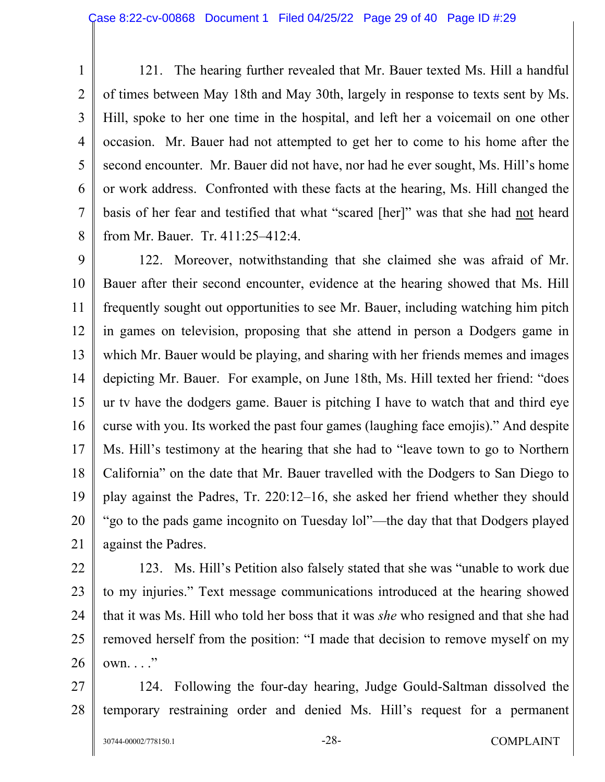1 2 3 4 5 6 7 8 121. The hearing further revealed that Mr. Bauer texted Ms. Hill a handful of times between May 18th and May 30th, largely in response to texts sent by Ms. Hill, spoke to her one time in the hospital, and left her a voicemail on one other occasion. Mr. Bauer had not attempted to get her to come to his home after the second encounter. Mr. Bauer did not have, nor had he ever sought, Ms. Hill's home or work address. Confronted with these facts at the hearing, Ms. Hill changed the basis of her fear and testified that what "scared [her]" was that she had not heard from Mr. Bauer. Tr. 411:25–412:4.

9 10 11 12 13 14 15 16 17 18 19 20 21 122. Moreover, notwithstanding that she claimed she was afraid of Mr. Bauer after their second encounter, evidence at the hearing showed that Ms. Hill frequently sought out opportunities to see Mr. Bauer, including watching him pitch in games on television, proposing that she attend in person a Dodgers game in which Mr. Bauer would be playing, and sharing with her friends memes and images depicting Mr. Bauer. For example, on June 18th, Ms. Hill texted her friend: "does ur tv have the dodgers game. Bauer is pitching I have to watch that and third eye curse with you. Its worked the past four games (laughing face emojis)." And despite Ms. Hill's testimony at the hearing that she had to "leave town to go to Northern California" on the date that Mr. Bauer travelled with the Dodgers to San Diego to play against the Padres, Tr. 220:12–16, she asked her friend whether they should "go to the pads game incognito on Tuesday lol"—the day that that Dodgers played against the Padres.

22

23 24 25 26 123. Ms. Hill's Petition also falsely stated that she was "unable to work due to my injuries." Text message communications introduced at the hearing showed that it was Ms. Hill who told her boss that it was *she* who resigned and that she had removed herself from the position: "I made that decision to remove myself on my  $own. \ldots$ "

27 28 124. Following the four-day hearing, Judge Gould-Saltman dissolved the temporary restraining order and denied Ms. Hill's request for a permanent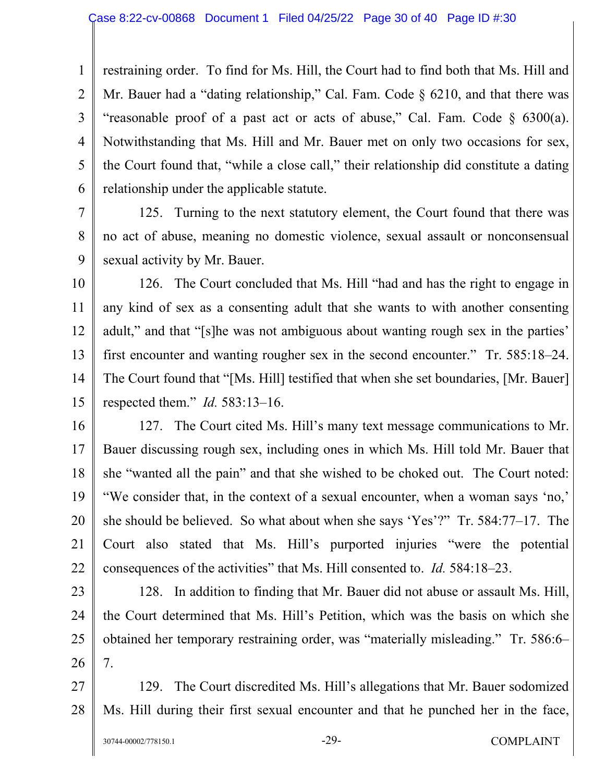1 2 3 4 5 6 restraining order. To find for Ms. Hill, the Court had to find both that Ms. Hill and Mr. Bauer had a "dating relationship," Cal. Fam. Code § 6210, and that there was "reasonable proof of a past act or acts of abuse," Cal. Fam. Code  $\S$  6300(a). Notwithstanding that Ms. Hill and Mr. Bauer met on only two occasions for sex, the Court found that, "while a close call," their relationship did constitute a dating relationship under the applicable statute.

7 8 9 125. Turning to the next statutory element, the Court found that there was no act of abuse, meaning no domestic violence, sexual assault or nonconsensual sexual activity by Mr. Bauer.

10 11 12 13 14 15 126. The Court concluded that Ms. Hill "had and has the right to engage in any kind of sex as a consenting adult that she wants to with another consenting adult," and that "[s]he was not ambiguous about wanting rough sex in the parties' first encounter and wanting rougher sex in the second encounter." Tr. 585:18–24. The Court found that "[Ms. Hill] testified that when she set boundaries, [Mr. Bauer] respected them." *Id.* 583:13–16.

16 17 18 19 20 21 22 127. The Court cited Ms. Hill's many text message communications to Mr. Bauer discussing rough sex, including ones in which Ms. Hill told Mr. Bauer that she "wanted all the pain" and that she wished to be choked out. The Court noted: "We consider that, in the context of a sexual encounter, when a woman says 'no,' she should be believed. So what about when she says 'Yes'?" Tr. 584:77–17. The Court also stated that Ms. Hill's purported injuries "were the potential consequences of the activities" that Ms. Hill consented to. *Id.* 584:18–23.

23 24 25 26 128. In addition to finding that Mr. Bauer did not abuse or assault Ms. Hill, the Court determined that Ms. Hill's Petition, which was the basis on which she obtained her temporary restraining order, was "materially misleading." Tr. 586:6– 7.

27 28 129. The Court discredited Ms. Hill's allegations that Mr. Bauer sodomized Ms. Hill during their first sexual encounter and that he punched her in the face,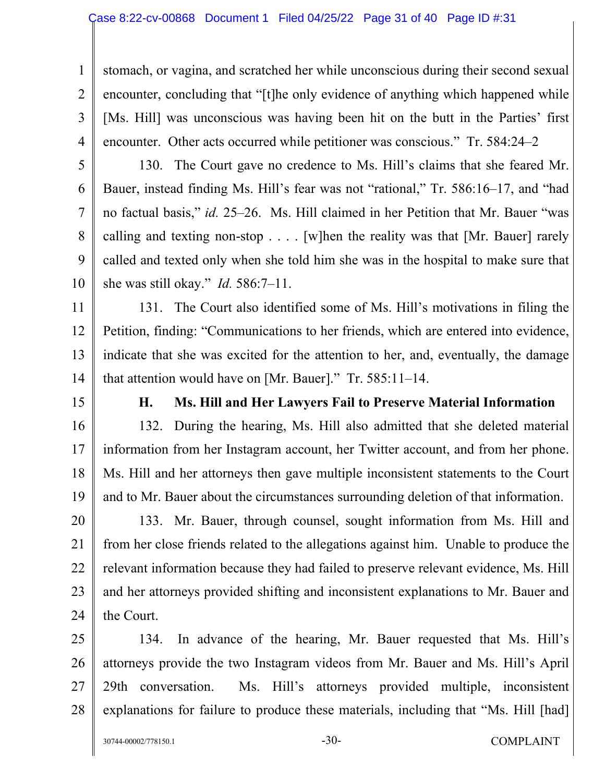stomach, or vagina, and scratched her while unconscious during their second sexual encounter, concluding that "[t]he only evidence of anything which happened while [Ms. Hill] was unconscious was having been hit on the butt in the Parties' first encounter. Other acts occurred while petitioner was conscious." Tr. 584:24–2

5

6

7

8

9

1

2

3

4

10 130. The Court gave no credence to Ms. Hill's claims that she feared Mr. Bauer, instead finding Ms. Hill's fear was not "rational," Tr. 586:16–17, and "had no factual basis," *id.* 25–26. Ms. Hill claimed in her Petition that Mr. Bauer "was calling and texting non-stop  $\ldots$ . [w]hen the reality was that [Mr. Bauer] rarely called and texted only when she told him she was in the hospital to make sure that she was still okay." *Id.* 586:7–11.

11 12 13 14 131. The Court also identified some of Ms. Hill's motivations in filing the Petition, finding: "Communications to her friends, which are entered into evidence, indicate that she was excited for the attention to her, and, eventually, the damage that attention would have on [Mr. Bauer]." Tr. 585:11–14.

15

#### **H. Ms. Hill and Her Lawyers Fail to Preserve Material Information**

16 17 18 19 132. During the hearing, Ms. Hill also admitted that she deleted material information from her Instagram account, her Twitter account, and from her phone. Ms. Hill and her attorneys then gave multiple inconsistent statements to the Court and to Mr. Bauer about the circumstances surrounding deletion of that information.

20 21 22 23 24 133. Mr. Bauer, through counsel, sought information from Ms. Hill and from her close friends related to the allegations against him. Unable to produce the relevant information because they had failed to preserve relevant evidence, Ms. Hill and her attorneys provided shifting and inconsistent explanations to Mr. Bauer and the Court.

25 26 27 28 134. In advance of the hearing, Mr. Bauer requested that Ms. Hill's attorneys provide the two Instagram videos from Mr. Bauer and Ms. Hill's April 29th conversation. Ms. Hill's attorneys provided multiple, inconsistent explanations for failure to produce these materials, including that "Ms. Hill [had]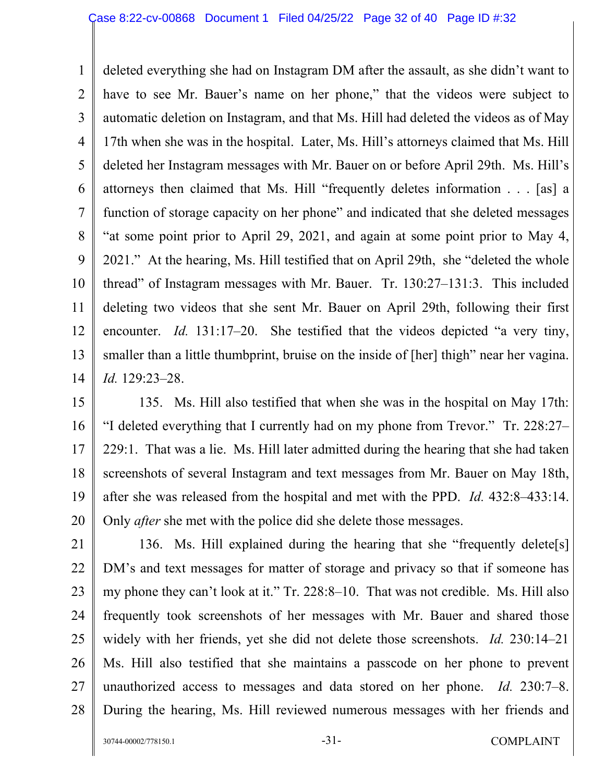1 2 3 4 5 6 7 8 9 10 11 12 13 14 deleted everything she had on Instagram DM after the assault, as she didn't want to have to see Mr. Bauer's name on her phone," that the videos were subject to automatic deletion on Instagram, and that Ms. Hill had deleted the videos as of May 17th when she was in the hospital. Later, Ms. Hill's attorneys claimed that Ms. Hill deleted her Instagram messages with Mr. Bauer on or before April 29th. Ms. Hill's attorneys then claimed that Ms. Hill "frequently deletes information . . . [as] a function of storage capacity on her phone" and indicated that she deleted messages "at some point prior to April 29, 2021, and again at some point prior to May 4, 2021." At the hearing, Ms. Hill testified that on April 29th, she "deleted the whole thread" of Instagram messages with Mr. Bauer. Tr. 130:27–131:3. This included deleting two videos that she sent Mr. Bauer on April 29th, following their first encounter. *Id.* 131:17–20. She testified that the videos depicted "a very tiny, smaller than a little thumbprint, bruise on the inside of [her] thigh" near her vagina. *Id.* 129:23–28.

15 16 17 18 19 20 135. Ms. Hill also testified that when she was in the hospital on May 17th: "I deleted everything that I currently had on my phone from Trevor." Tr. 228:27– 229:1. That was a lie. Ms. Hill later admitted during the hearing that she had taken screenshots of several Instagram and text messages from Mr. Bauer on May 18th, after she was released from the hospital and met with the PPD. *Id.* 432:8–433:14. Only *after* she met with the police did she delete those messages.

21 22 23 24 25 26 27 28 136. Ms. Hill explained during the hearing that she "frequently delete[s] DM's and text messages for matter of storage and privacy so that if someone has my phone they can't look at it." Tr. 228:8–10. That was not credible. Ms. Hill also frequently took screenshots of her messages with Mr. Bauer and shared those widely with her friends, yet she did not delete those screenshots. *Id.* 230:14–21 Ms. Hill also testified that she maintains a passcode on her phone to prevent unauthorized access to messages and data stored on her phone. *Id.* 230:7–8. During the hearing, Ms. Hill reviewed numerous messages with her friends and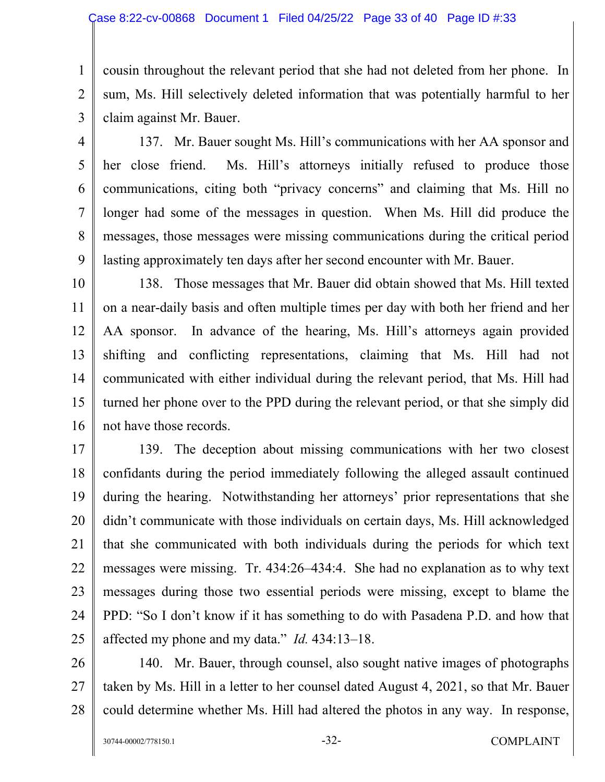3 cousin throughout the relevant period that she had not deleted from her phone. In sum, Ms. Hill selectively deleted information that was potentially harmful to her claim against Mr. Bauer.

4 5

6

7

8

9

1

2

137. Mr. Bauer sought Ms. Hill's communications with her AA sponsor and her close friend. Ms. Hill's attorneys initially refused to produce those communications, citing both "privacy concerns" and claiming that Ms. Hill no longer had some of the messages in question. When Ms. Hill did produce the messages, those messages were missing communications during the critical period lasting approximately ten days after her second encounter with Mr. Bauer.

10 11 12 13 14 15 16 138. Those messages that Mr. Bauer did obtain showed that Ms. Hill texted on a near-daily basis and often multiple times per day with both her friend and her AA sponsor. In advance of the hearing, Ms. Hill's attorneys again provided shifting and conflicting representations, claiming that Ms. Hill had not communicated with either individual during the relevant period, that Ms. Hill had turned her phone over to the PPD during the relevant period, or that she simply did not have those records.

17 18 19 20 21 22 23 24 25 139. The deception about missing communications with her two closest confidants during the period immediately following the alleged assault continued during the hearing. Notwithstanding her attorneys' prior representations that she didn't communicate with those individuals on certain days, Ms. Hill acknowledged that she communicated with both individuals during the periods for which text messages were missing. Tr. 434:26–434:4. She had no explanation as to why text messages during those two essential periods were missing, except to blame the PPD: "So I don't know if it has something to do with Pasadena P.D. and how that affected my phone and my data." *Id.* 434:13–18.

26 27 28 140. Mr. Bauer, through counsel, also sought native images of photographs taken by Ms. Hill in a letter to her counsel dated August 4, 2021, so that Mr. Bauer could determine whether Ms. Hill had altered the photos in any way. In response,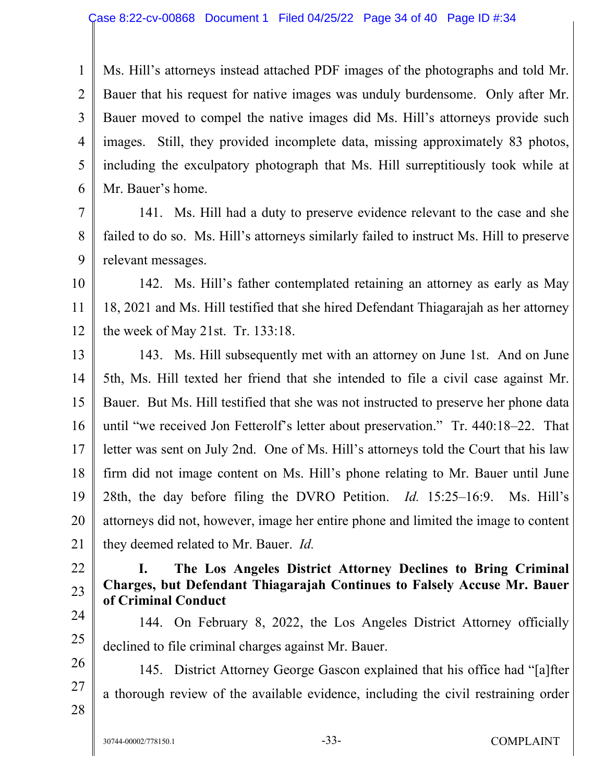1 2 3 4 5 6 Ms. Hill's attorneys instead attached PDF images of the photographs and told Mr. Bauer that his request for native images was unduly burdensome. Only after Mr. Bauer moved to compel the native images did Ms. Hill's attorneys provide such images. Still, they provided incomplete data, missing approximately 83 photos, including the exculpatory photograph that Ms. Hill surreptitiously took while at Mr. Bauer's home.

7 8 9 141. Ms. Hill had a duty to preserve evidence relevant to the case and she failed to do so. Ms. Hill's attorneys similarly failed to instruct Ms. Hill to preserve relevant messages.

10 11 12 142. Ms. Hill's father contemplated retaining an attorney as early as May 18, 2021 and Ms. Hill testified that she hired Defendant Thiagarajah as her attorney the week of May 21st. Tr. 133:18.

13 14 15 16 17 18 19 20 21 143. Ms. Hill subsequently met with an attorney on June 1st. And on June 5th, Ms. Hill texted her friend that she intended to file a civil case against Mr. Bauer. But Ms. Hill testified that she was not instructed to preserve her phone data until "we received Jon Fetterolf's letter about preservation." Tr. 440:18–22. That letter was sent on July 2nd. One of Ms. Hill's attorneys told the Court that his law firm did not image content on Ms. Hill's phone relating to Mr. Bauer until June 28th, the day before filing the DVRO Petition. *Id.* 15:25–16:9. Ms. Hill's attorneys did not, however, image her entire phone and limited the image to content they deemed related to Mr. Bauer. *Id.* 

- 22
- 23 24

25

## **I. The Los Angeles District Attorney Declines to Bring Criminal Charges, but Defendant Thiagarajah Continues to Falsely Accuse Mr. Bauer of Criminal Conduct**

144. On February 8, 2022, the Los Angeles District Attorney officially declined to file criminal charges against Mr. Bauer.

26 27 28 145. District Attorney George Gascon explained that his office had "[a]fter a thorough review of the available evidence, including the civil restraining order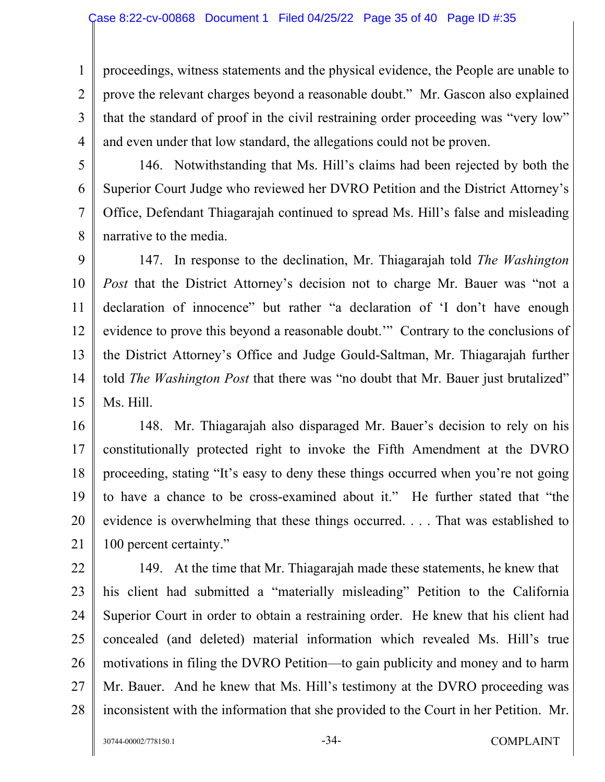1 2 3 4 proceedings, witness statements and the physical evidence, the People are unable to prove the relevant charges beyond a reasonable doubt." Mr. Gascon also explained that the standard of proof in the civil restraining order proceeding was "very low" and even under that low standard, the allegations could not be proven.

5

6

7

8

146. Notwithstanding that Ms. Hill's claims had been rejected by both the Superior Court Judge who reviewed her DVRO Petition and the District Attorney's Office, Defendant Thiagarajah continued to spread Ms. Hill's false and misleading narrative to the media.

9 10 11 12 13 14 15 147. In response to the declination, Mr. Thiagarajah told *The Washington Post* that the District Attorney's decision not to charge Mr. Bauer was "not a declaration of innocence" but rather "a declaration of 'I don't have enough evidence to prove this beyond a reasonable doubt.'" Contrary to the conclusions of the District Attorney's Office and Judge Gould-Saltman, Mr. Thiagarajah further told *The Washington Post* that there was "no doubt that Mr. Bauer just brutalized" Ms. Hill.

16 17 18 19 20 21 148. Mr. Thiagarajah also disparaged Mr. Bauer's decision to rely on his constitutionally protected right to invoke the Fifth Amendment at the DVRO proceeding, stating "It's easy to deny these things occurred when you're not going to have a chance to be cross-examined about it." He further stated that "the evidence is overwhelming that these things occurred. . . . That was established to 100 percent certainty."

22 23 24 25 26 27 28 149. At the time that Mr. Thiagarajah made these statements, he knew that his client had submitted a "materially misleading" Petition to the California Superior Court in order to obtain a restraining order. He knew that his client had concealed (and deleted) material information which revealed Ms. Hill's true motivations in filing the DVRO Petition—to gain publicity and money and to harm Mr. Bauer. And he knew that Ms. Hill's testimony at the DVRO proceeding was inconsistent with the information that she provided to the Court in her Petition. Mr.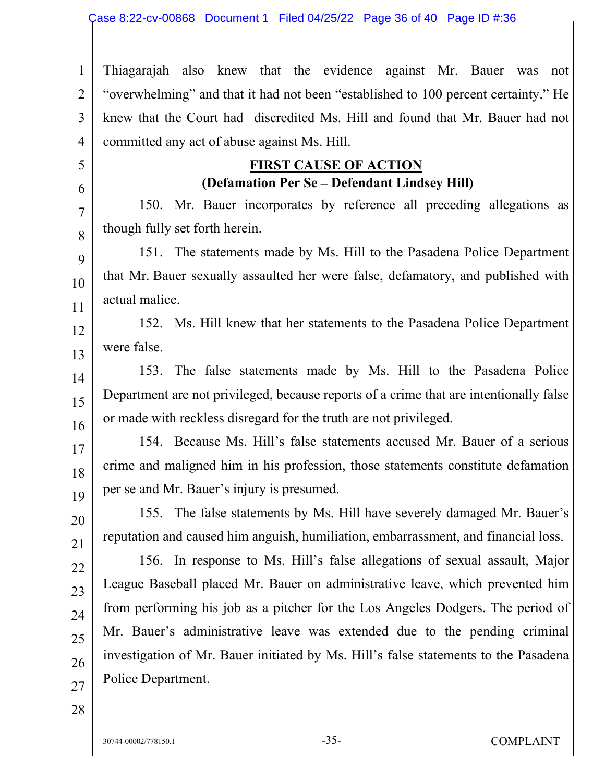1 2 3 4 Thiagarajah also knew that the evidence against Mr. Bauer was not "overwhelming" and that it had not been "established to 100 percent certainty." He knew that the Court had discredited Ms. Hill and found that Mr. Bauer had not committed any act of abuse against Ms. Hill.

# **FIRST CAUSE OF ACTION (Defamation Per Se – Defendant Lindsey Hill)**

150. Mr. Bauer incorporates by reference all preceding allegations as though fully set forth herein.

151. The statements made by Ms. Hill to the Pasadena Police Department that Mr. Bauer sexually assaulted her were false, defamatory, and published with actual malice.

152. Ms. Hill knew that her statements to the Pasadena Police Department were false.

153. The false statements made by Ms. Hill to the Pasadena Police Department are not privileged, because reports of a crime that are intentionally false or made with reckless disregard for the truth are not privileged.

154. Because Ms. Hill's false statements accused Mr. Bauer of a serious crime and maligned him in his profession, those statements constitute defamation per se and Mr. Bauer's injury is presumed.

155. The false statements by Ms. Hill have severely damaged Mr. Bauer's reputation and caused him anguish, humiliation, embarrassment, and financial loss.

156. In response to Ms. Hill's false allegations of sexual assault, Major League Baseball placed Mr. Bauer on administrative leave, which prevented him from performing his job as a pitcher for the Los Angeles Dodgers. The period of Mr. Bauer's administrative leave was extended due to the pending criminal investigation of Mr. Bauer initiated by Ms. Hill's false statements to the Pasadena Police Department.

28

5

6

7

8

9

10

11

12

13

14

15

16

17

18

19

20

21

22

23

24

25

26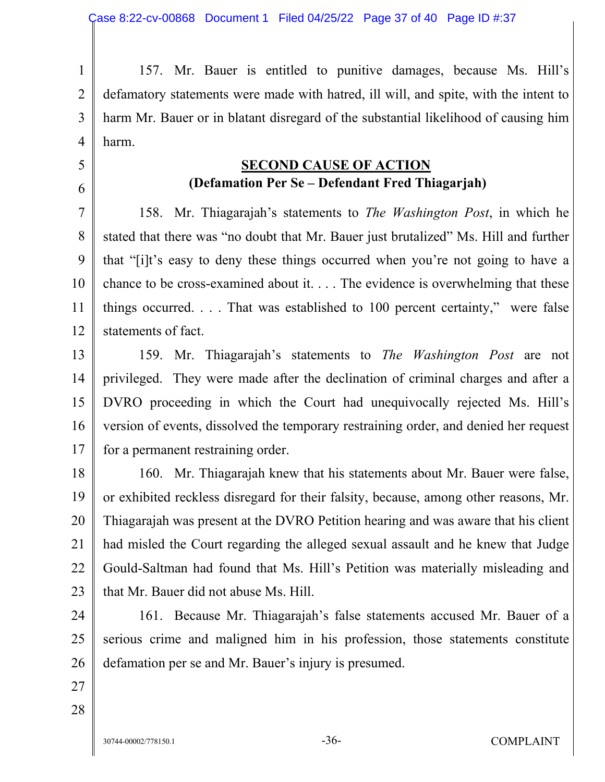1 2 3 4 157. Mr. Bauer is entitled to punitive damages, because Ms. Hill's defamatory statements were made with hatred, ill will, and spite, with the intent to harm Mr. Bauer or in blatant disregard of the substantial likelihood of causing him harm.

# **SECOND CAUSE OF ACTION (Defamation Per Se – Defendant Fred Thiagarjah)**

7 8 9 10 11 12 158. Mr. Thiagarajah's statements to *The Washington Post*, in which he stated that there was "no doubt that Mr. Bauer just brutalized" Ms. Hill and further that "[i]t's easy to deny these things occurred when you're not going to have a chance to be cross-examined about it. . . . The evidence is overwhelming that these things occurred. . . . That was established to 100 percent certainty," were false statements of fact.

13 14 15 16 17 159. Mr. Thiagarajah's statements to *The Washington Post* are not privileged. They were made after the declination of criminal charges and after a DVRO proceeding in which the Court had unequivocally rejected Ms. Hill's version of events, dissolved the temporary restraining order, and denied her request for a permanent restraining order.

18 19 20 21 22 23 160. Mr. Thiagarajah knew that his statements about Mr. Bauer were false, or exhibited reckless disregard for their falsity, because, among other reasons, Mr. Thiagarajah was present at the DVRO Petition hearing and was aware that his client had misled the Court regarding the alleged sexual assault and he knew that Judge Gould-Saltman had found that Ms. Hill's Petition was materially misleading and that Mr. Bauer did not abuse Ms. Hill.

24 25 26 161. Because Mr. Thiagarajah's false statements accused Mr. Bauer of a serious crime and maligned him in his profession, those statements constitute defamation per se and Mr. Bauer's injury is presumed.

27 28

5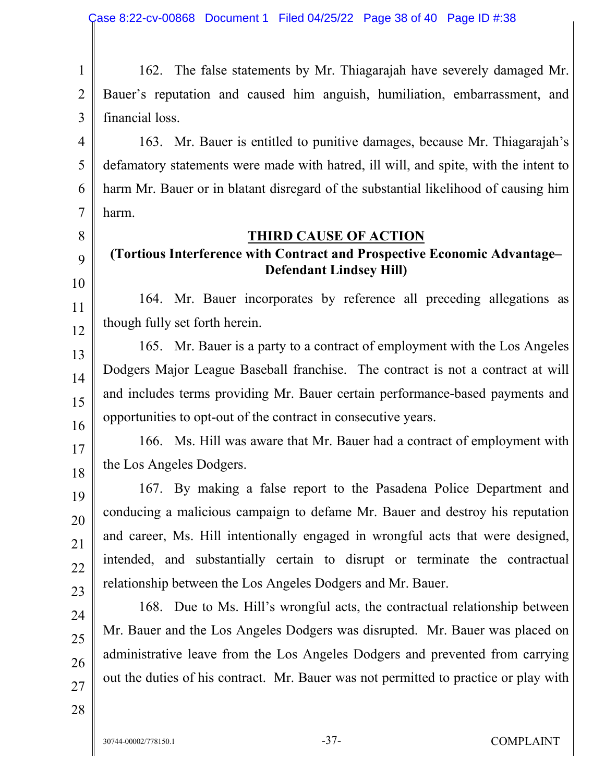1 2 3 162. The false statements by Mr. Thiagarajah have severely damaged Mr. Bauer's reputation and caused him anguish, humiliation, embarrassment, and financial loss.

4 163. Mr. Bauer is entitled to punitive damages, because Mr. Thiagarajah's defamatory statements were made with hatred, ill will, and spite, with the intent to harm Mr. Bauer or in blatant disregard of the substantial likelihood of causing him harm.

8 9

10

11

12

13

14

15

16

17

18

19

20

21

22

23

24

25

26

5

6

7

#### **THIRD CAUSE OF ACTION**

# **(Tortious Interference with Contract and Prospective Economic Advantage– Defendant Lindsey Hill)**

164. Mr. Bauer incorporates by reference all preceding allegations as though fully set forth herein.

165. Mr. Bauer is a party to a contract of employment with the Los Angeles Dodgers Major League Baseball franchise. The contract is not a contract at will and includes terms providing Mr. Bauer certain performance-based payments and opportunities to opt-out of the contract in consecutive years.

166. Ms. Hill was aware that Mr. Bauer had a contract of employment with the Los Angeles Dodgers.

167. By making a false report to the Pasadena Police Department and conducing a malicious campaign to defame Mr. Bauer and destroy his reputation and career, Ms. Hill intentionally engaged in wrongful acts that were designed, intended, and substantially certain to disrupt or terminate the contractual relationship between the Los Angeles Dodgers and Mr. Bauer.

168. Due to Ms. Hill's wrongful acts, the contractual relationship between Mr. Bauer and the Los Angeles Dodgers was disrupted. Mr. Bauer was placed on administrative leave from the Los Angeles Dodgers and prevented from carrying out the duties of his contract. Mr. Bauer was not permitted to practice or play with

28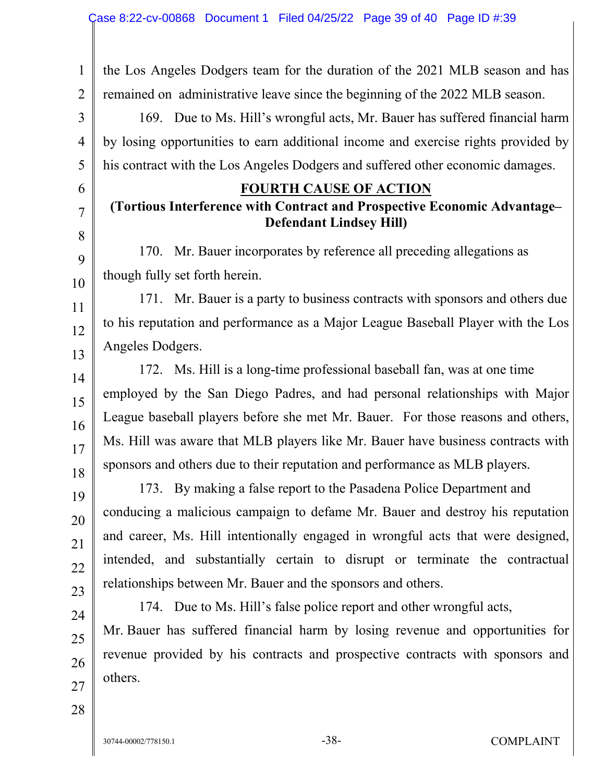1 2 the Los Angeles Dodgers team for the duration of the 2021 MLB season and has remained on administrative leave since the beginning of the 2022 MLB season.

169. Due to Ms. Hill's wrongful acts, Mr. Bauer has suffered financial harm by losing opportunities to earn additional income and exercise rights provided by his contract with the Los Angeles Dodgers and suffered other economic damages.

#### **FOURTH CAUSE OF ACTION**

# **(Tortious Interference with Contract and Prospective Economic Advantage– Defendant Lindsey Hill)**

170. Mr. Bauer incorporates by reference all preceding allegations as though fully set forth herein.

171. Mr. Bauer is a party to business contracts with sponsors and others due to his reputation and performance as a Major League Baseball Player with the Los Angeles Dodgers.

172. Ms. Hill is a long-time professional baseball fan, was at one time employed by the San Diego Padres, and had personal relationships with Major League baseball players before she met Mr. Bauer. For those reasons and others, Ms. Hill was aware that MLB players like Mr. Bauer have business contracts with sponsors and others due to their reputation and performance as MLB players.

173. By making a false report to the Pasadena Police Department and conducing a malicious campaign to defame Mr. Bauer and destroy his reputation and career, Ms. Hill intentionally engaged in wrongful acts that were designed, intended, and substantially certain to disrupt or terminate the contractual relationships between Mr. Bauer and the sponsors and others.

174. Due to Ms. Hill's false police report and other wrongful acts, Mr. Bauer has suffered financial harm by losing revenue and opportunities for revenue provided by his contracts and prospective contracts with sponsors and others.

28

27

3

4

5

6

7

8

9

10

11

12

13

14

15

16

17

18

19

20

21

22

23

24

25